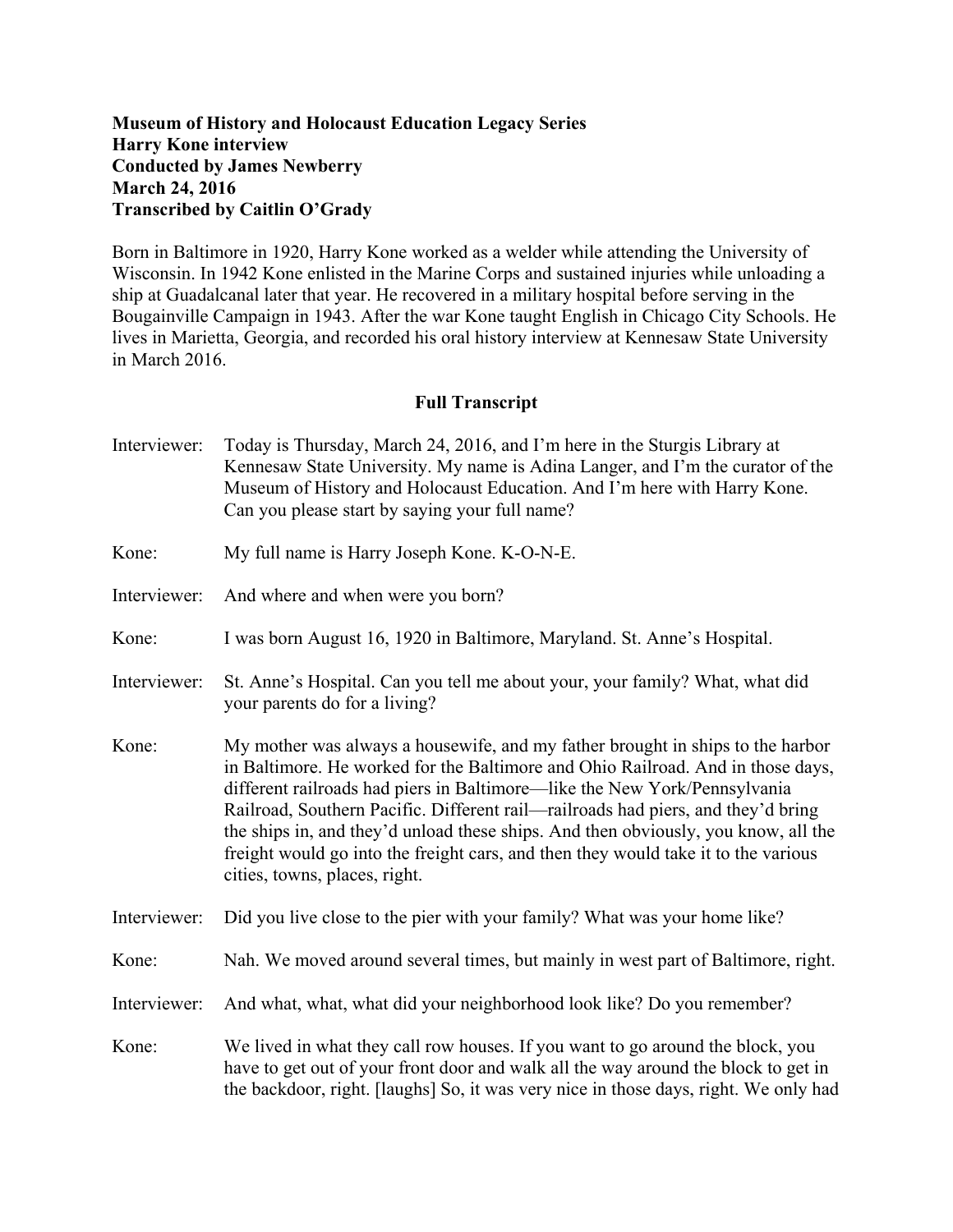## **Museum of History and Holocaust Education Legacy Series Harry Kone interview Conducted by James Newberry March 24, 2016 Transcribed by Caitlin O'Grady**

Born in Baltimore in 1920, Harry Kone worked as a welder while attending the University of Wisconsin. In 1942 Kone enlisted in the Marine Corps and sustained injuries while unloading a ship at Guadalcanal later that year. He recovered in a military hospital before serving in the Bougainville Campaign in 1943. After the war Kone taught English in Chicago City Schools. He lives in Marietta, Georgia, and recorded his oral history interview at Kennesaw State University in March 2016.

## **Full Transcript**

- Interviewer: Today is Thursday, March 24, 2016, and I'm here in the Sturgis Library at Kennesaw State University. My name is Adina Langer, and I'm the curator of the Museum of History and Holocaust Education. And I'm here with Harry Kone. Can you please start by saying your full name?
- Kone: My full name is Harry Joseph Kone. K-O-N-E.
- Interviewer: And where and when were you born?
- Kone: I was born August 16, 1920 in Baltimore, Maryland. St. Anne's Hospital.
- Interviewer: St. Anne's Hospital. Can you tell me about your, your family? What, what did your parents do for a living?
- Kone: My mother was always a housewife, and my father brought in ships to the harbor in Baltimore. He worked for the Baltimore and Ohio Railroad. And in those days, different railroads had piers in Baltimore—like the New York/Pennsylvania Railroad, Southern Pacific. Different rail—railroads had piers, and they'd bring the ships in, and they'd unload these ships. And then obviously, you know, all the freight would go into the freight cars, and then they would take it to the various cities, towns, places, right.
- Interviewer: Did you live close to the pier with your family? What was your home like?
- Kone: Nah. We moved around several times, but mainly in west part of Baltimore, right.
- Interviewer: And what, what, what did your neighborhood look like? Do you remember?
- Kone: We lived in what they call row houses. If you want to go around the block, you have to get out of your front door and walk all the way around the block to get in the backdoor, right. [laughs] So, it was very nice in those days, right. We only had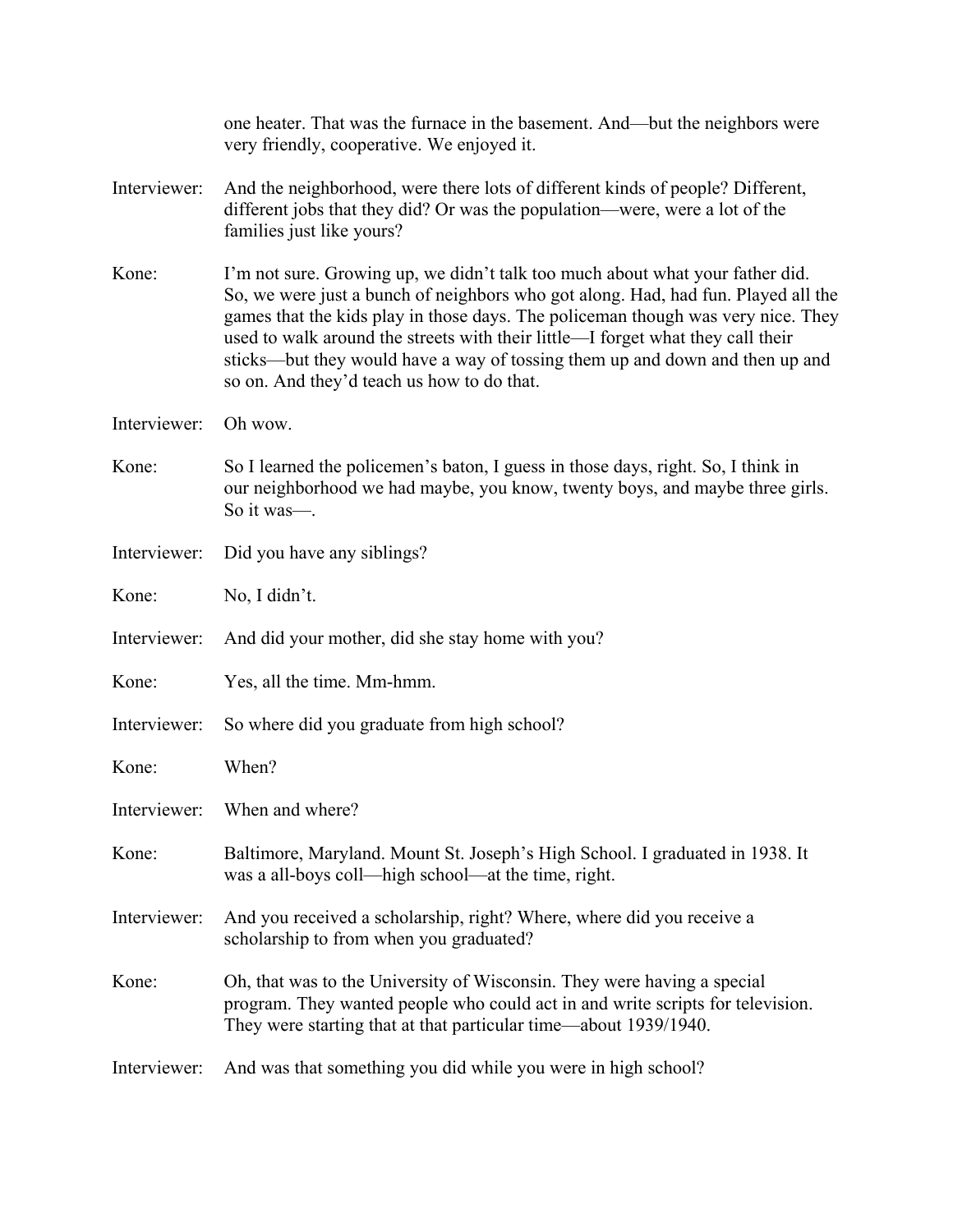|              | one heater. That was the furnace in the basement. And—but the neighbors were<br>very friendly, cooperative. We enjoyed it.                                                                                                                                                                                                                                                                                                                                              |
|--------------|-------------------------------------------------------------------------------------------------------------------------------------------------------------------------------------------------------------------------------------------------------------------------------------------------------------------------------------------------------------------------------------------------------------------------------------------------------------------------|
| Interviewer: | And the neighborhood, were there lots of different kinds of people? Different,<br>different jobs that they did? Or was the population—were, were a lot of the<br>families just like yours?                                                                                                                                                                                                                                                                              |
| Kone:        | I'm not sure. Growing up, we didn't talk too much about what your father did.<br>So, we were just a bunch of neighbors who got along. Had, had fun. Played all the<br>games that the kids play in those days. The policeman though was very nice. They<br>used to walk around the streets with their little—I forget what they call their<br>sticks—but they would have a way of tossing them up and down and then up and<br>so on. And they'd teach us how to do that. |
| Interviewer: | Oh wow.                                                                                                                                                                                                                                                                                                                                                                                                                                                                 |
| Kone:        | So I learned the policemen's baton, I guess in those days, right. So, I think in<br>our neighborhood we had maybe, you know, twenty boys, and maybe three girls.<br>So it was-.                                                                                                                                                                                                                                                                                         |
| Interviewer: | Did you have any siblings?                                                                                                                                                                                                                                                                                                                                                                                                                                              |
| Kone:        | No, I didn't.                                                                                                                                                                                                                                                                                                                                                                                                                                                           |
| Interviewer: | And did your mother, did she stay home with you?                                                                                                                                                                                                                                                                                                                                                                                                                        |
| Kone:        | Yes, all the time. Mm-hmm.                                                                                                                                                                                                                                                                                                                                                                                                                                              |
| Interviewer: | So where did you graduate from high school?                                                                                                                                                                                                                                                                                                                                                                                                                             |
| Kone:        | When?                                                                                                                                                                                                                                                                                                                                                                                                                                                                   |
|              | Interviewer: When and where?                                                                                                                                                                                                                                                                                                                                                                                                                                            |
| Kone:        | Baltimore, Maryland. Mount St. Joseph's High School. I graduated in 1938. It<br>was a all-boys coll—high school—at the time, right.                                                                                                                                                                                                                                                                                                                                     |
| Interviewer: | And you received a scholarship, right? Where, where did you receive a<br>scholarship to from when you graduated?                                                                                                                                                                                                                                                                                                                                                        |
| Kone:        | Oh, that was to the University of Wisconsin. They were having a special<br>program. They wanted people who could act in and write scripts for television.<br>They were starting that at that particular time—about 1939/1940.                                                                                                                                                                                                                                           |
| Interviewer: | And was that something you did while you were in high school?                                                                                                                                                                                                                                                                                                                                                                                                           |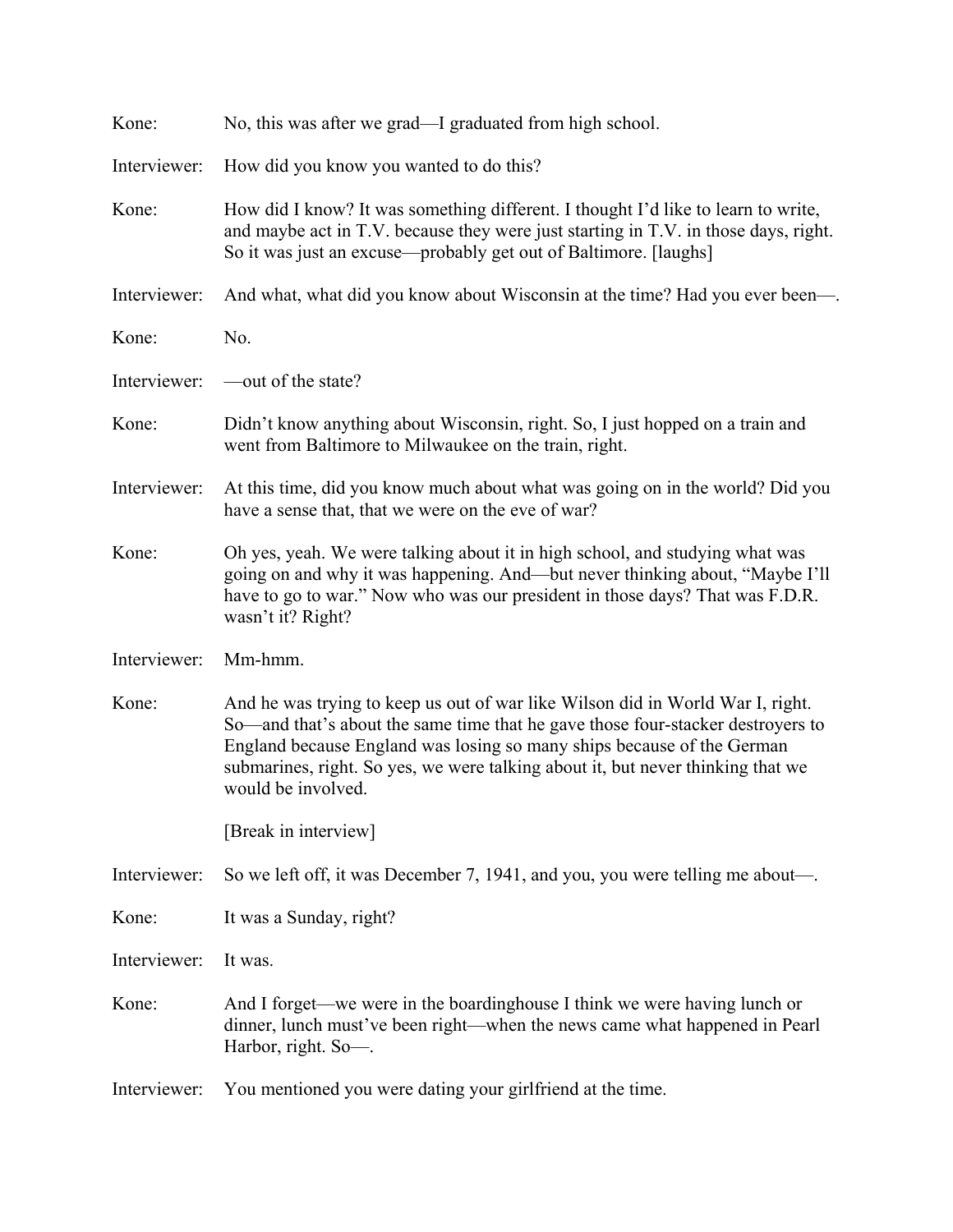| Kone:        | No, this was after we grad—I graduated from high school.                                                                                                                                                                                                                                                                                             |
|--------------|------------------------------------------------------------------------------------------------------------------------------------------------------------------------------------------------------------------------------------------------------------------------------------------------------------------------------------------------------|
| Interviewer: | How did you know you wanted to do this?                                                                                                                                                                                                                                                                                                              |
| Kone:        | How did I know? It was something different. I thought I'd like to learn to write,<br>and maybe act in T.V. because they were just starting in T.V. in those days, right.<br>So it was just an excuse—probably get out of Baltimore. [laughs]                                                                                                         |
| Interviewer: | And what, what did you know about Wisconsin at the time? Had you ever been-                                                                                                                                                                                                                                                                          |
| Kone:        | No.                                                                                                                                                                                                                                                                                                                                                  |
| Interviewer: | —out of the state?                                                                                                                                                                                                                                                                                                                                   |
| Kone:        | Didn't know anything about Wisconsin, right. So, I just hopped on a train and<br>went from Baltimore to Milwaukee on the train, right.                                                                                                                                                                                                               |
| Interviewer: | At this time, did you know much about what was going on in the world? Did you<br>have a sense that, that we were on the eve of war?                                                                                                                                                                                                                  |
| Kone:        | Oh yes, yeah. We were talking about it in high school, and studying what was<br>going on and why it was happening. And—but never thinking about, "Maybe I'll<br>have to go to war." Now who was our president in those days? That was F.D.R.<br>wasn't it? Right?                                                                                    |
| Interviewer: | Mm-hmm.                                                                                                                                                                                                                                                                                                                                              |
| Kone:        | And he was trying to keep us out of war like Wilson did in World War I, right.<br>So—and that's about the same time that he gave those four-stacker destroyers to<br>England because England was losing so many ships because of the German<br>submarines, right. So yes, we were talking about it, but never thinking that we<br>would be involved. |
|              | [Break in interview]                                                                                                                                                                                                                                                                                                                                 |
| Interviewer: | So we left off, it was December 7, 1941, and you, you were telling me about—.                                                                                                                                                                                                                                                                        |
| Kone:        | It was a Sunday, right?                                                                                                                                                                                                                                                                                                                              |
| Interviewer: | It was.                                                                                                                                                                                                                                                                                                                                              |
| Kone:        | And I forget—we were in the boardinghouse I think we were having lunch or<br>dinner, lunch must've been right—when the news came what happened in Pearl<br>Harbor, right. So-.                                                                                                                                                                       |
| Interviewer: | You mentioned you were dating your girlfriend at the time.                                                                                                                                                                                                                                                                                           |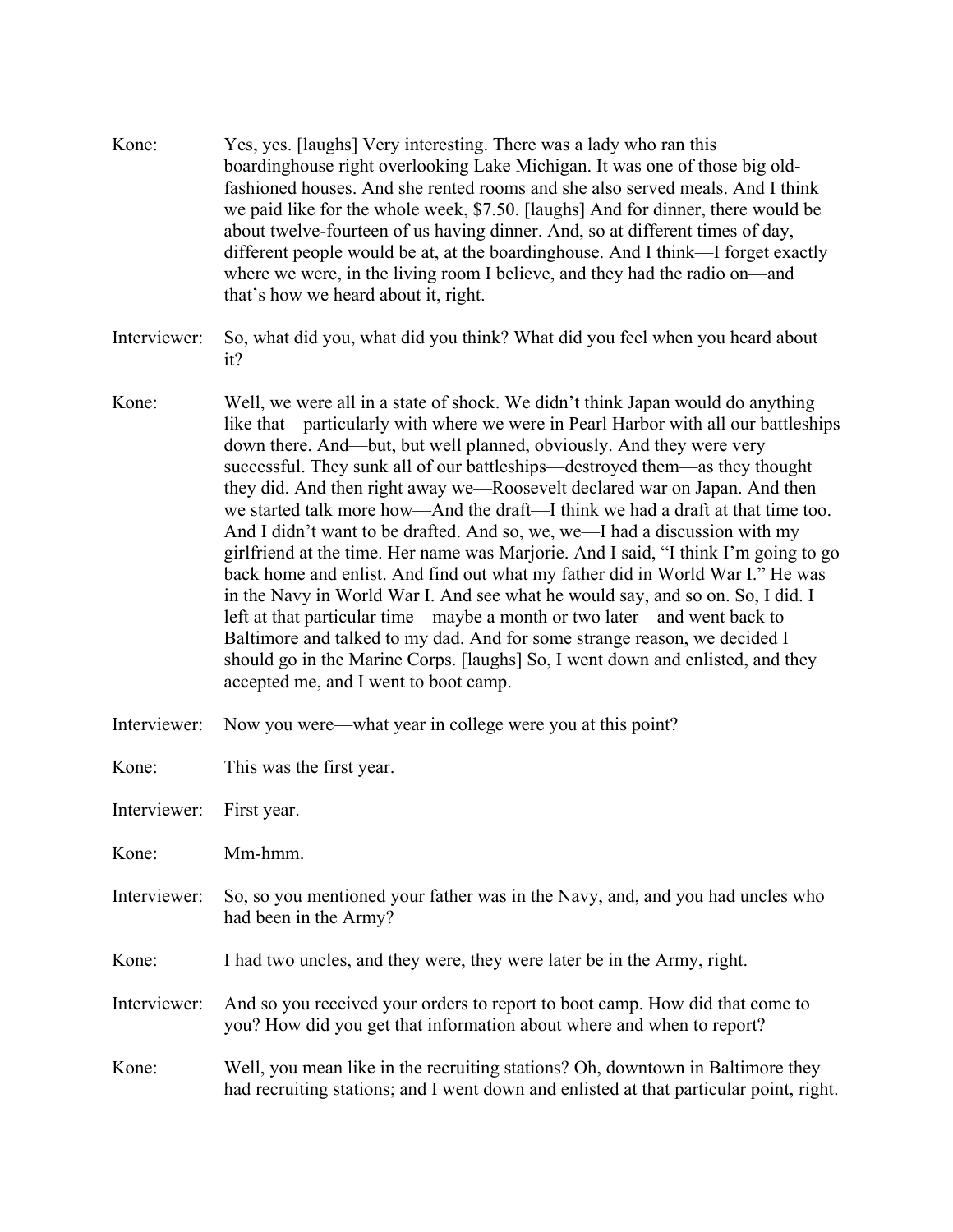- Kone: Yes, yes. [laughs] Very interesting. There was a lady who ran this boardinghouse right overlooking Lake Michigan. It was one of those big oldfashioned houses. And she rented rooms and she also served meals. And I think we paid like for the whole week, \$7.50. [laughs] And for dinner, there would be about twelve-fourteen of us having dinner. And, so at different times of day, different people would be at, at the boardinghouse. And I think—I forget exactly where we were, in the living room I believe, and they had the radio on—and that's how we heard about it, right.
- Interviewer: So, what did you, what did you think? What did you feel when you heard about it?
- Kone: Well, we were all in a state of shock. We didn't think Japan would do anything like that—particularly with where we were in Pearl Harbor with all our battleships down there. And—but, but well planned, obviously. And they were very successful. They sunk all of our battleships—destroyed them—as they thought they did. And then right away we—Roosevelt declared war on Japan. And then we started talk more how—And the draft—I think we had a draft at that time too. And I didn't want to be drafted. And so, we, we—I had a discussion with my girlfriend at the time. Her name was Marjorie. And I said, "I think I'm going to go back home and enlist. And find out what my father did in World War I." He was in the Navy in World War I. And see what he would say, and so on. So, I did. I left at that particular time—maybe a month or two later—and went back to Baltimore and talked to my dad. And for some strange reason, we decided I should go in the Marine Corps. [laughs] So, I went down and enlisted, and they accepted me, and I went to boot camp.
- Interviewer: Now you were—what year in college were you at this point?

| Kone: |  | This was the first year. |
|-------|--|--------------------------|
|-------|--|--------------------------|

Interviewer: First year.

Kone: Mm-hmm.

- Interviewer: So, so you mentioned your father was in the Navy, and, and you had uncles who had been in the Army?
- Kone: I had two uncles, and they were, they were later be in the Army, right.

Interviewer: And so you received your orders to report to boot camp. How did that come to you? How did you get that information about where and when to report?

Kone: Well, you mean like in the recruiting stations? Oh, downtown in Baltimore they had recruiting stations; and I went down and enlisted at that particular point, right.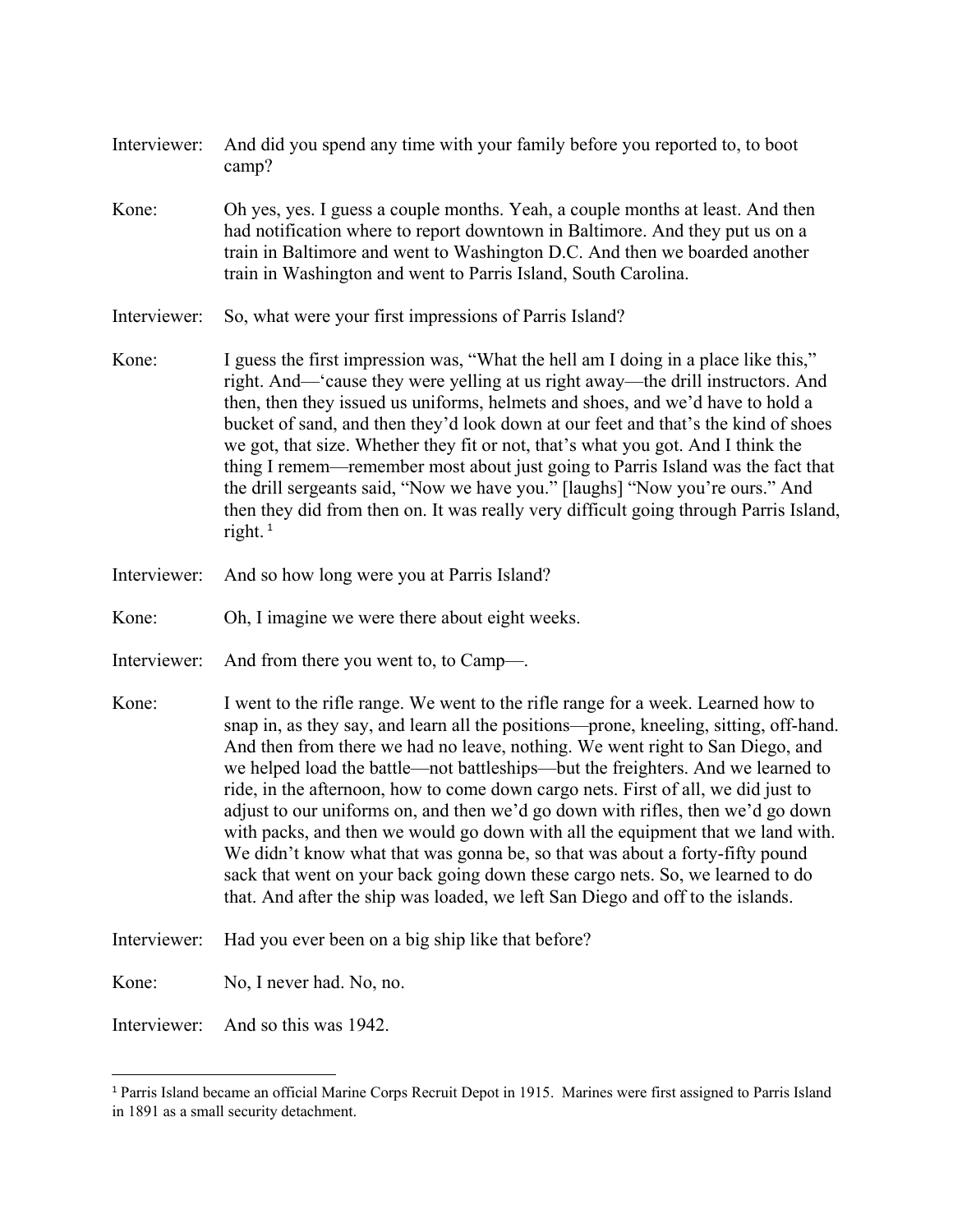- Interviewer: And did you spend any time with your family before you reported to, to boot camp?
- Kone: Oh yes, yes. I guess a couple months. Yeah, a couple months at least. And then had notification where to report downtown in Baltimore. And they put us on a train in Baltimore and went to Washington D.C. And then we boarded another train in Washington and went to Parris Island, South Carolina.
- Interviewer: So, what were your first impressions of Parris Island?
- Kone: I guess the first impression was, "What the hell am I doing in a place like this," right. And—'cause they were yelling at us right away—the drill instructors. And then, then they issued us uniforms, helmets and shoes, and we'd have to hold a bucket of sand, and then they'd look down at our feet and that's the kind of shoes we got, that size. Whether they fit or not, that's what you got. And I think the thing I remem—remember most about just going to Parris Island was the fact that the drill sergeants said, "Now we have you." [laughs] "Now you're ours." And then they did from then on. It was really very difficult going through Parris Island, right.<sup>[1](#page-4-0)</sup>
- Interviewer: And so how long were you at Parris Island?
- Kone: Oh, I imagine we were there about eight weeks.
- Interviewer: And from there you went to, to Camp—.
- Kone: I went to the rifle range. We went to the rifle range for a week. Learned how to snap in, as they say, and learn all the positions—prone, kneeling, sitting, off-hand. And then from there we had no leave, nothing. We went right to San Diego, and we helped load the battle—not battleships—but the freighters. And we learned to ride, in the afternoon, how to come down cargo nets. First of all, we did just to adjust to our uniforms on, and then we'd go down with rifles, then we'd go down with packs, and then we would go down with all the equipment that we land with. We didn't know what that was gonna be, so that was about a forty-fifty pound sack that went on your back going down these cargo nets. So, we learned to do that. And after the ship was loaded, we left San Diego and off to the islands.
- Interviewer: Had you ever been on a big ship like that before?
- Kone: No, I never had. No, no.
- Interviewer: And so this was 1942.

 $\overline{a}$ 

<span id="page-4-0"></span><sup>&</sup>lt;sup>1</sup> Parris Island became an official Marine Corps Recruit Depot in 1915. Marines were first assigned to Parris Island in 1891 as a small security detachment.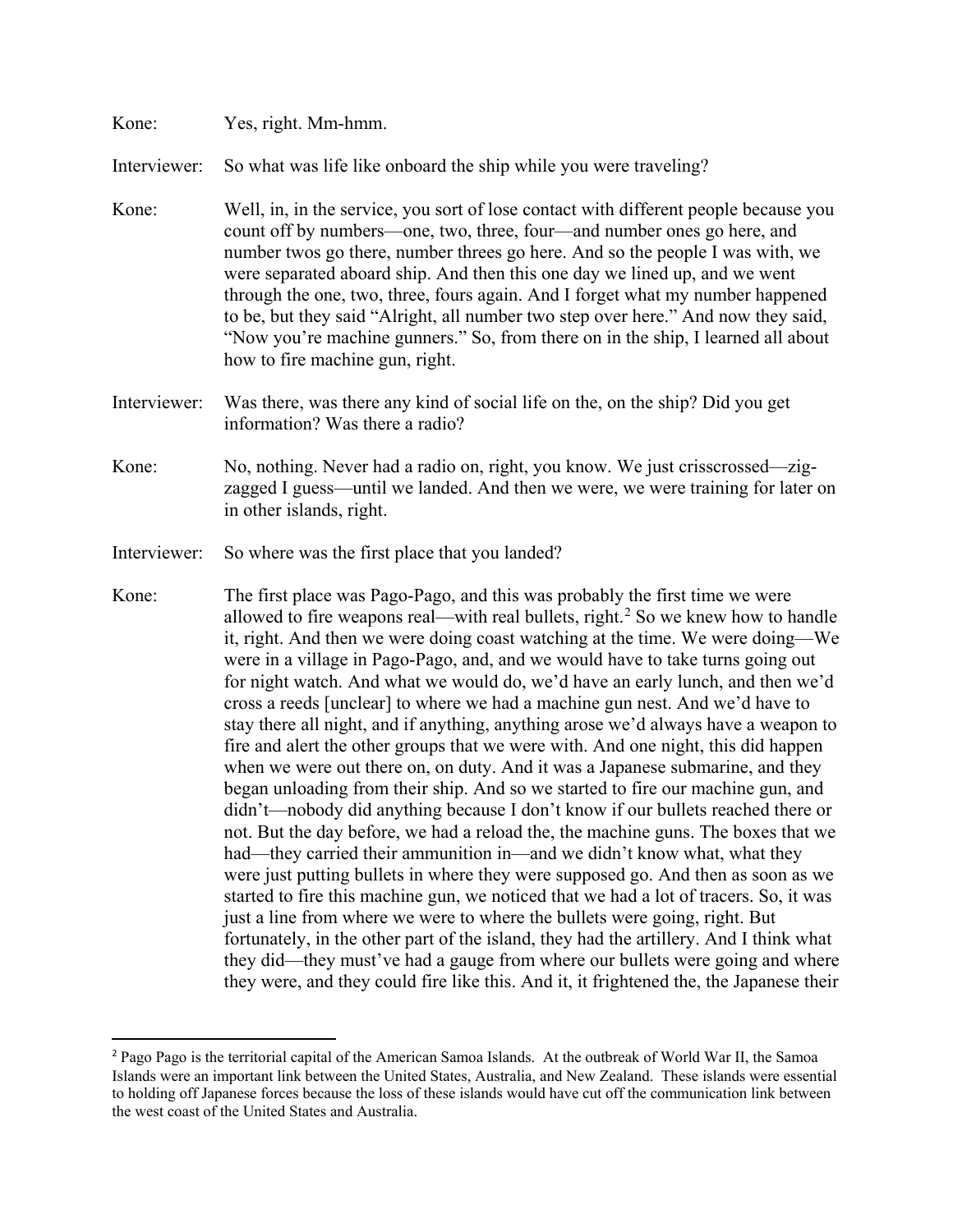## Kone: Yes, right. Mm-hmm.

 $\overline{\phantom{a}}$ 

Interviewer: So what was life like onboard the ship while you were traveling?

- Kone: Well, in, in the service, you sort of lose contact with different people because you count off by numbers—one, two, three, four—and number ones go here, and number twos go there, number threes go here. And so the people I was with, we were separated aboard ship. And then this one day we lined up, and we went through the one, two, three, fours again. And I forget what my number happened to be, but they said "Alright, all number two step over here." And now they said, "Now you're machine gunners." So, from there on in the ship, I learned all about how to fire machine gun, right.
- Interviewer: Was there, was there any kind of social life on the, on the ship? Did you get information? Was there a radio?
- Kone: No, nothing. Never had a radio on, right, you know. We just crisscrossed—zigzagged I guess—until we landed. And then we were, we were training for later on in other islands, right.
- Interviewer: So where was the first place that you landed?
- Kone: The first place was Pago-Pago, and this was probably the first time we were allowed to fire weapons real—with real bullets, right. $2$  So we knew how to handle it, right. And then we were doing coast watching at the time. We were doing—We were in a village in Pago-Pago, and, and we would have to take turns going out for night watch. And what we would do, we'd have an early lunch, and then we'd cross a reeds [unclear] to where we had a machine gun nest. And we'd have to stay there all night, and if anything, anything arose we'd always have a weapon to fire and alert the other groups that we were with. And one night, this did happen when we were out there on, on duty. And it was a Japanese submarine, and they began unloading from their ship. And so we started to fire our machine gun, and didn't—nobody did anything because I don't know if our bullets reached there or not. But the day before, we had a reload the, the machine guns. The boxes that we had—they carried their ammunition in—and we didn't know what, what they were just putting bullets in where they were supposed go. And then as soon as we started to fire this machine gun, we noticed that we had a lot of tracers. So, it was just a line from where we were to where the bullets were going, right. But fortunately, in the other part of the island, they had the artillery. And I think what they did—they must've had a gauge from where our bullets were going and where they were, and they could fire like this. And it, it frightened the, the Japanese their

<span id="page-5-0"></span><sup>2</sup> Pago Pago is the territorial capital of the American Samoa Islands. At the outbreak of World War II, the Samoa Islands were an important link between the United States, Australia, and New Zealand. These islands were essential to holding off Japanese forces because the loss of these islands would have cut off the communication link between the west coast of the United States and Australia.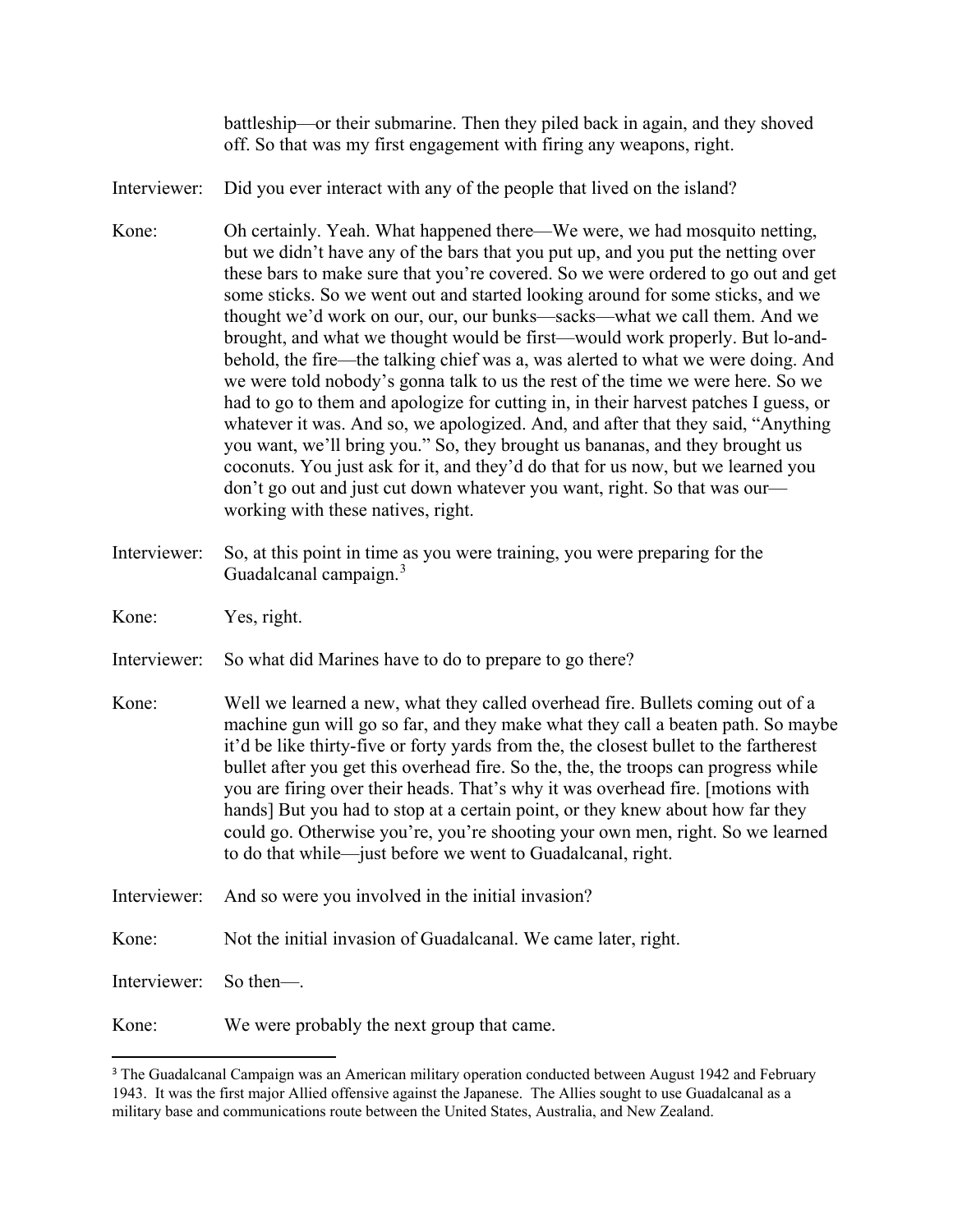battleship—or their submarine. Then they piled back in again, and they shoved off. So that was my first engagement with firing any weapons, right.

Interviewer: Did you ever interact with any of the people that lived on the island?

- Kone: Oh certainly. Yeah. What happened there—We were, we had mosquito netting, but we didn't have any of the bars that you put up, and you put the netting over these bars to make sure that you're covered. So we were ordered to go out and get some sticks. So we went out and started looking around for some sticks, and we thought we'd work on our, our, our bunks—sacks—what we call them. And we brought, and what we thought would be first—would work properly. But lo-andbehold, the fire—the talking chief was a, was alerted to what we were doing. And we were told nobody's gonna talk to us the rest of the time we were here. So we had to go to them and apologize for cutting in, in their harvest patches I guess, or whatever it was. And so, we apologized. And, and after that they said, "Anything you want, we'll bring you." So, they brought us bananas, and they brought us coconuts. You just ask for it, and they'd do that for us now, but we learned you don't go out and just cut down whatever you want, right. So that was our working with these natives, right.
- Interviewer: So, at this point in time as you were training, you were preparing for the Guadalcanal campaign.<sup>[3](#page-6-0)</sup>

Kone: Yes, right.

- Interviewer: So what did Marines have to do to prepare to go there?
- Kone: Well we learned a new, what they called overhead fire. Bullets coming out of a machine gun will go so far, and they make what they call a beaten path. So maybe it'd be like thirty-five or forty yards from the, the closest bullet to the fartherest bullet after you get this overhead fire. So the, the, the troops can progress while you are firing over their heads. That's why it was overhead fire. [motions with hands] But you had to stop at a certain point, or they knew about how far they could go. Otherwise you're, you're shooting your own men, right. So we learned to do that while—just before we went to Guadalcanal, right.
- Interviewer: And so were you involved in the initial invasion?
- Kone: Not the initial invasion of Guadalcanal. We came later, right.

Interviewer: So then—.

l

Kone: We were probably the next group that came.

<span id="page-6-0"></span><sup>&</sup>lt;sup>3</sup> The Guadalcanal Campaign was an American military operation conducted between August 1942 and February 1943. It was the first major Allied offensive against the Japanese. The Allies sought to use Guadalcanal as a military base and communications route between the United States, Australia, and New Zealand.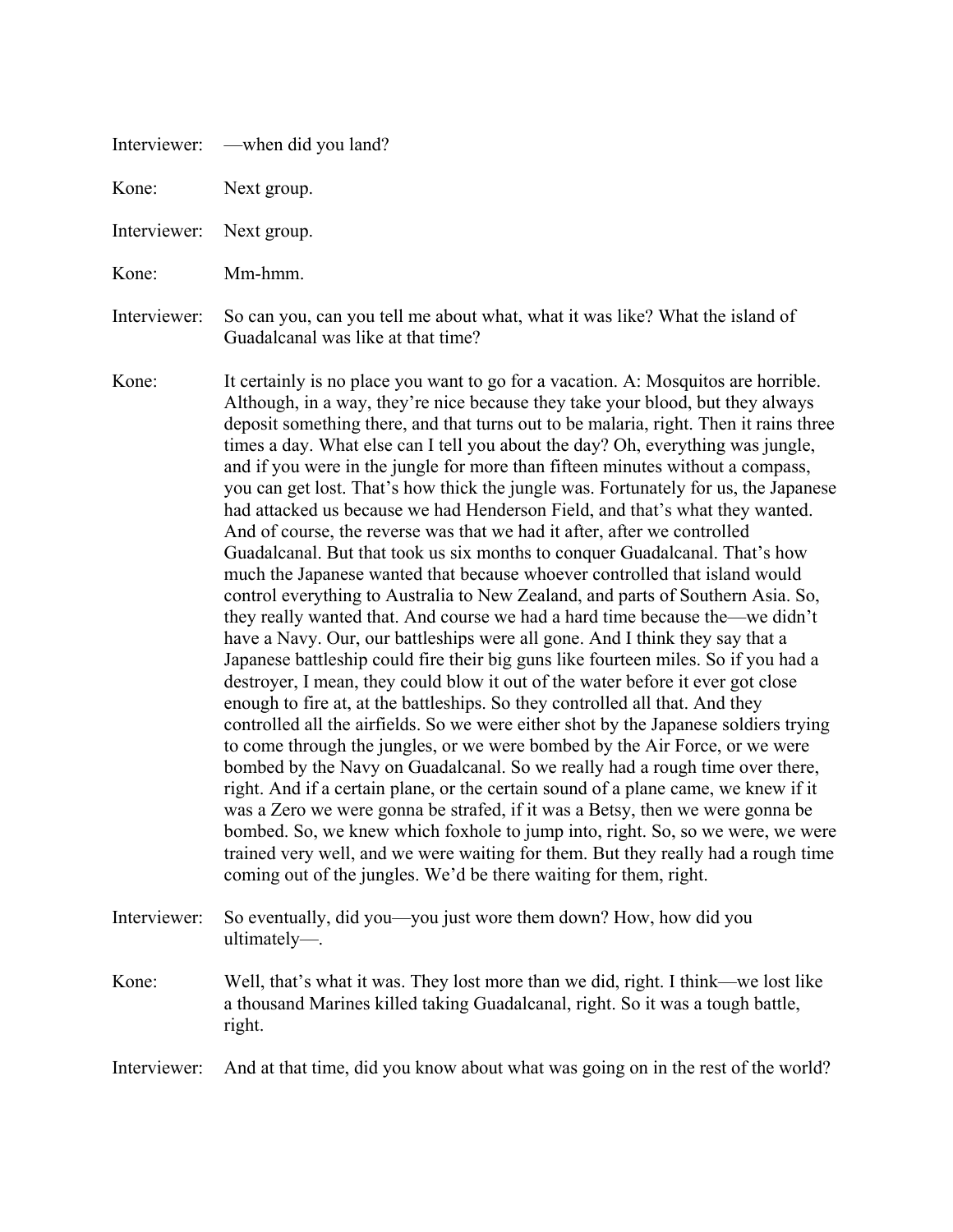| Interviewer: | — when did you land? |  |
|--------------|----------------------|--|
|--------------|----------------------|--|

Kone: Next group.

Interviewer: Next group.

Kone: Mm-hmm.

Interviewer: So can you, can you tell me about what, what it was like? What the island of Guadalcanal was like at that time?

- Kone: It certainly is no place you want to go for a vacation. A: Mosquitos are horrible. Although, in a way, they're nice because they take your blood, but they always deposit something there, and that turns out to be malaria, right. Then it rains three times a day. What else can I tell you about the day? Oh, everything was jungle, and if you were in the jungle for more than fifteen minutes without a compass, you can get lost. That's how thick the jungle was. Fortunately for us, the Japanese had attacked us because we had Henderson Field, and that's what they wanted. And of course, the reverse was that we had it after, after we controlled Guadalcanal. But that took us six months to conquer Guadalcanal. That's how much the Japanese wanted that because whoever controlled that island would control everything to Australia to New Zealand, and parts of Southern Asia. So, they really wanted that. And course we had a hard time because the—we didn't have a Navy. Our, our battleships were all gone. And I think they say that a Japanese battleship could fire their big guns like fourteen miles. So if you had a destroyer, I mean, they could blow it out of the water before it ever got close enough to fire at, at the battleships. So they controlled all that. And they controlled all the airfields. So we were either shot by the Japanese soldiers trying to come through the jungles, or we were bombed by the Air Force, or we were bombed by the Navy on Guadalcanal. So we really had a rough time over there, right. And if a certain plane, or the certain sound of a plane came, we knew if it was a Zero we were gonna be strafed, if it was a Betsy, then we were gonna be bombed. So, we knew which foxhole to jump into, right. So, so we were, we were trained very well, and we were waiting for them. But they really had a rough time coming out of the jungles. We'd be there waiting for them, right.
- Interviewer: So eventually, did you—you just wore them down? How, how did you ultimately—.
- Kone: Well, that's what it was. They lost more than we did, right. I think—we lost like a thousand Marines killed taking Guadalcanal, right. So it was a tough battle, right.

Interviewer: And at that time, did you know about what was going on in the rest of the world?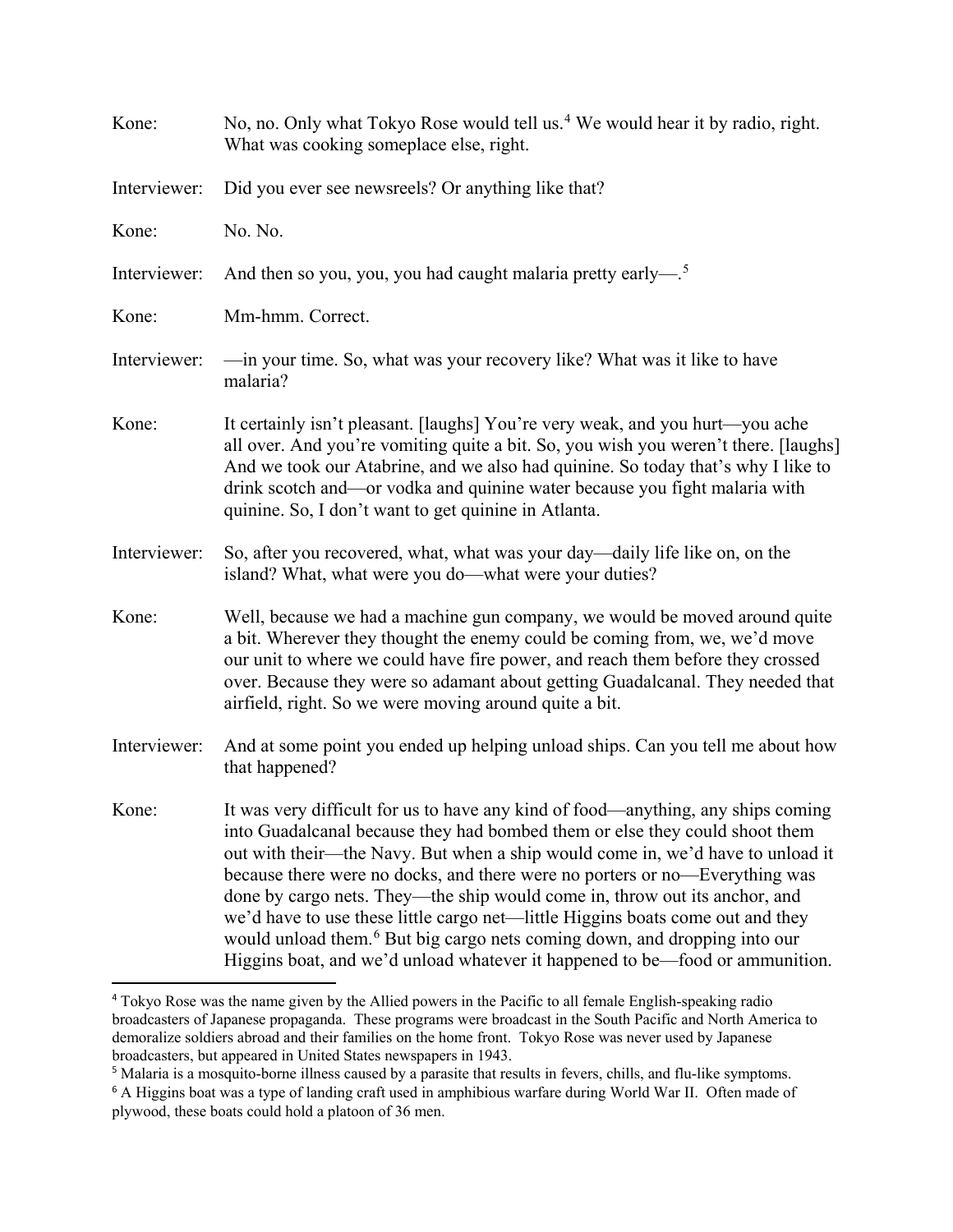| Kone:        | No, no. Only what Tokyo Rose would tell us. <sup>4</sup> We would hear it by radio, right.<br>What was cooking someplace else, right.                                                                                                                                                                                                                                                                                                                                                                                                                                                                                                                                     |
|--------------|---------------------------------------------------------------------------------------------------------------------------------------------------------------------------------------------------------------------------------------------------------------------------------------------------------------------------------------------------------------------------------------------------------------------------------------------------------------------------------------------------------------------------------------------------------------------------------------------------------------------------------------------------------------------------|
| Interviewer: | Did you ever see newsreels? Or anything like that?                                                                                                                                                                                                                                                                                                                                                                                                                                                                                                                                                                                                                        |
| Kone:        | No. No.                                                                                                                                                                                                                                                                                                                                                                                                                                                                                                                                                                                                                                                                   |
| Interviewer: | And then so you, you, you had caught malaria pretty early— $^5$                                                                                                                                                                                                                                                                                                                                                                                                                                                                                                                                                                                                           |
| Kone:        | Mm-hmm. Correct.                                                                                                                                                                                                                                                                                                                                                                                                                                                                                                                                                                                                                                                          |
| Interviewer: | —in your time. So, what was your recovery like? What was it like to have<br>malaria?                                                                                                                                                                                                                                                                                                                                                                                                                                                                                                                                                                                      |
| Kone:        | It certainly isn't pleasant. [laughs] You're very weak, and you hurt—you ache<br>all over. And you're vomiting quite a bit. So, you wish you weren't there. [laughs]<br>And we took our Atabrine, and we also had quinine. So today that's why I like to<br>drink scotch and—or vodka and quinine water because you fight malaria with<br>quinine. So, I don't want to get quinine in Atlanta.                                                                                                                                                                                                                                                                            |
| Interviewer: | So, after you recovered, what, what was your day-daily life like on, on the<br>island? What, what were you do—what were your duties?                                                                                                                                                                                                                                                                                                                                                                                                                                                                                                                                      |
| Kone:        | Well, because we had a machine gun company, we would be moved around quite<br>a bit. Wherever they thought the enemy could be coming from, we, we'd move<br>our unit to where we could have fire power, and reach them before they crossed<br>over. Because they were so adamant about getting Guadalcanal. They needed that<br>airfield, right. So we were moving around quite a bit.                                                                                                                                                                                                                                                                                    |
| Interviewer: | And at some point you ended up helping unload ships. Can you tell me about how<br>that happened?                                                                                                                                                                                                                                                                                                                                                                                                                                                                                                                                                                          |
| Kone:        | It was very difficult for us to have any kind of food—anything, any ships coming<br>into Guadalcanal because they had bombed them or else they could shoot them<br>out with their—the Navy. But when a ship would come in, we'd have to unload it<br>because there were no docks, and there were no porters or no—Everything was<br>done by cargo nets. They—the ship would come in, throw out its anchor, and<br>we'd have to use these little cargo net—little Higgins boats come out and they<br>would unload them. <sup>6</sup> But big cargo nets coming down, and dropping into our<br>Higgins boat, and we'd unload whatever it happened to be-food or ammunition. |

<span id="page-8-0"></span><sup>4</sup> Tokyo Rose was the name given by the Allied powers in the Pacific to all female English-speaking radio broadcasters of Japanese propaganda. These programs were broadcast in the South Pacific and North America to demoralize soldiers abroad and their families on the home front. Tokyo Rose was never used by Japanese broadcasters, but appeared in United States newspapers in 1943.

<span id="page-8-1"></span><sup>5</sup> Malaria is a mosquito-borne illness caused by a parasite that results in fevers, chills, and flu-like symptoms.

<span id="page-8-2"></span><sup>6</sup> A Higgins boat was a type of landing craft used in amphibious warfare during World War II. Often made of plywood, these boats could hold a platoon of 36 men.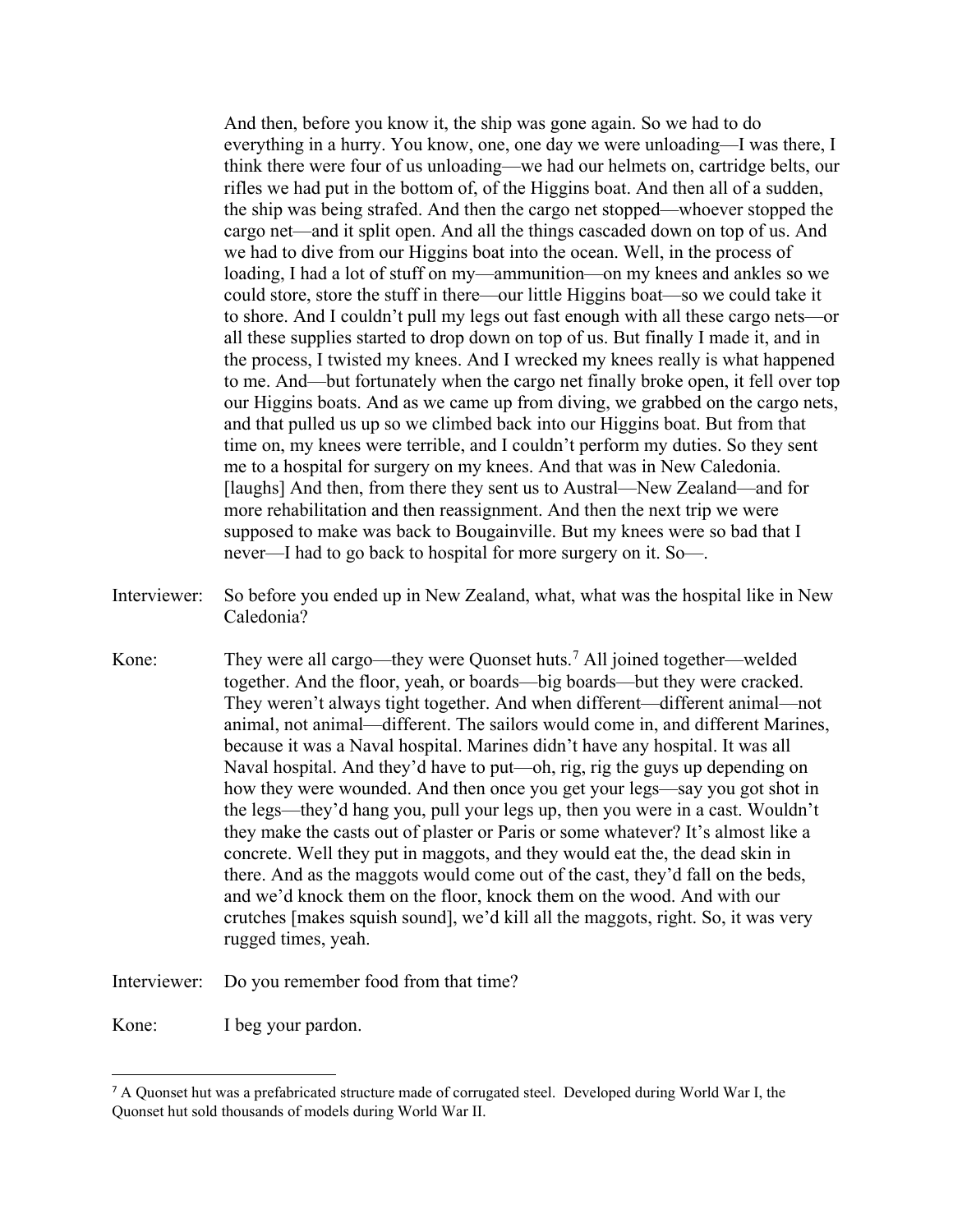And then, before you know it, the ship was gone again. So we had to do everything in a hurry. You know, one, one day we were unloading—I was there, I think there were four of us unloading—we had our helmets on, cartridge belts, our rifles we had put in the bottom of, of the Higgins boat. And then all of a sudden, the ship was being strafed. And then the cargo net stopped—whoever stopped the cargo net—and it split open. And all the things cascaded down on top of us. And we had to dive from our Higgins boat into the ocean. Well, in the process of loading, I had a lot of stuff on my—ammunition—on my knees and ankles so we could store, store the stuff in there—our little Higgins boat—so we could take it to shore. And I couldn't pull my legs out fast enough with all these cargo nets—or all these supplies started to drop down on top of us. But finally I made it, and in the process, I twisted my knees. And I wrecked my knees really is what happened to me. And—but fortunately when the cargo net finally broke open, it fell over top our Higgins boats. And as we came up from diving, we grabbed on the cargo nets, and that pulled us up so we climbed back into our Higgins boat. But from that time on, my knees were terrible, and I couldn't perform my duties. So they sent me to a hospital for surgery on my knees. And that was in New Caledonia. [laughs] And then, from there they sent us to Austral—New Zealand—and for more rehabilitation and then reassignment. And then the next trip we were supposed to make was back to Bougainville. But my knees were so bad that I never—I had to go back to hospital for more surgery on it. So—.

- Interviewer: So before you ended up in New Zealand, what, what was the hospital like in New Caledonia?
- Kone: They were all cargo—they were Quonset huts.<sup>[7](#page-9-0)</sup> All joined together—welded together. And the floor, yeah, or boards—big boards—but they were cracked. They weren't always tight together. And when different—different animal—not animal, not animal—different. The sailors would come in, and different Marines, because it was a Naval hospital. Marines didn't have any hospital. It was all Naval hospital. And they'd have to put—oh, rig, rig the guys up depending on how they were wounded. And then once you get your legs—say you got shot in the legs—they'd hang you, pull your legs up, then you were in a cast. Wouldn't they make the casts out of plaster or Paris or some whatever? It's almost like a concrete. Well they put in maggots, and they would eat the, the dead skin in there. And as the maggots would come out of the cast, they'd fall on the beds, and we'd knock them on the floor, knock them on the wood. And with our crutches [makes squish sound], we'd kill all the maggots, right. So, it was very rugged times, yeah.
- Interviewer: Do you remember food from that time?

Kone: I beg your pardon.

 $\overline{a}$ 

<span id="page-9-0"></span><sup>&</sup>lt;sup>7</sup> A Quonset hut was a prefabricated structure made of corrugated steel. Developed during World War I, the Quonset hut sold thousands of models during World War II.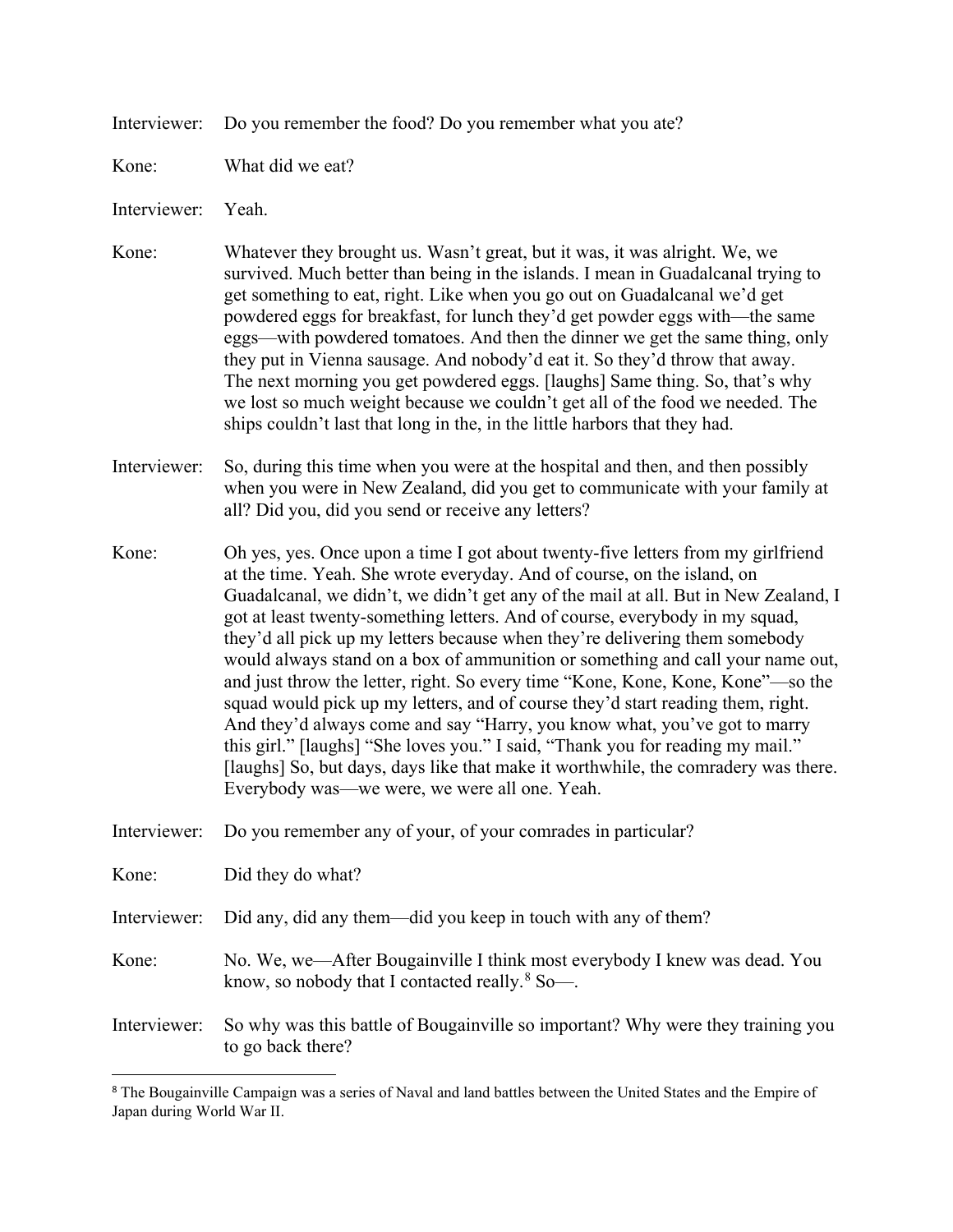Interviewer: Do you remember the food? Do you remember what you ate?

Kone: What did we eat?

Interviewer: Yeah.

 $\overline{a}$ 

- Kone: Whatever they brought us. Wasn't great, but it was, it was alright. We, we survived. Much better than being in the islands. I mean in Guadalcanal trying to get something to eat, right. Like when you go out on Guadalcanal we'd get powdered eggs for breakfast, for lunch they'd get powder eggs with—the same eggs—with powdered tomatoes. And then the dinner we get the same thing, only they put in Vienna sausage. And nobody'd eat it. So they'd throw that away. The next morning you get powdered eggs. [laughs] Same thing. So, that's why we lost so much weight because we couldn't get all of the food we needed. The ships couldn't last that long in the, in the little harbors that they had.
- Interviewer: So, during this time when you were at the hospital and then, and then possibly when you were in New Zealand, did you get to communicate with your family at all? Did you, did you send or receive any letters?
- Kone: Oh yes, yes. Once upon a time I got about twenty-five letters from my girlfriend at the time. Yeah. She wrote everyday. And of course, on the island, on Guadalcanal, we didn't, we didn't get any of the mail at all. But in New Zealand, I got at least twenty-something letters. And of course, everybody in my squad, they'd all pick up my letters because when they're delivering them somebody would always stand on a box of ammunition or something and call your name out, and just throw the letter, right. So every time "Kone, Kone, Kone, Kone"—so the squad would pick up my letters, and of course they'd start reading them, right. And they'd always come and say "Harry, you know what, you've got to marry this girl." [laughs] "She loves you." I said, "Thank you for reading my mail." [laughs] So, but days, days like that make it worthwhile, the comradery was there. Everybody was—we were, we were all one. Yeah.
- Interviewer: Do you remember any of your, of your comrades in particular?

| Kone:        | Did they do what?                                                                                                              |
|--------------|--------------------------------------------------------------------------------------------------------------------------------|
| Interviewer: | Did any, did any them—did you keep in touch with any of them?                                                                  |
| Kone:        | No. We, we—After Bougainville I think most everybody I knew was dead. You<br>know, so nobody that I contacted really. $880$ —. |
| Interviewer: | So why was this battle of Bougainville so important? Why were they training you<br>to go back there?                           |

<span id="page-10-0"></span><sup>8</sup> The Bougainville Campaign was a series of Naval and land battles between the United States and the Empire of Japan during World War II.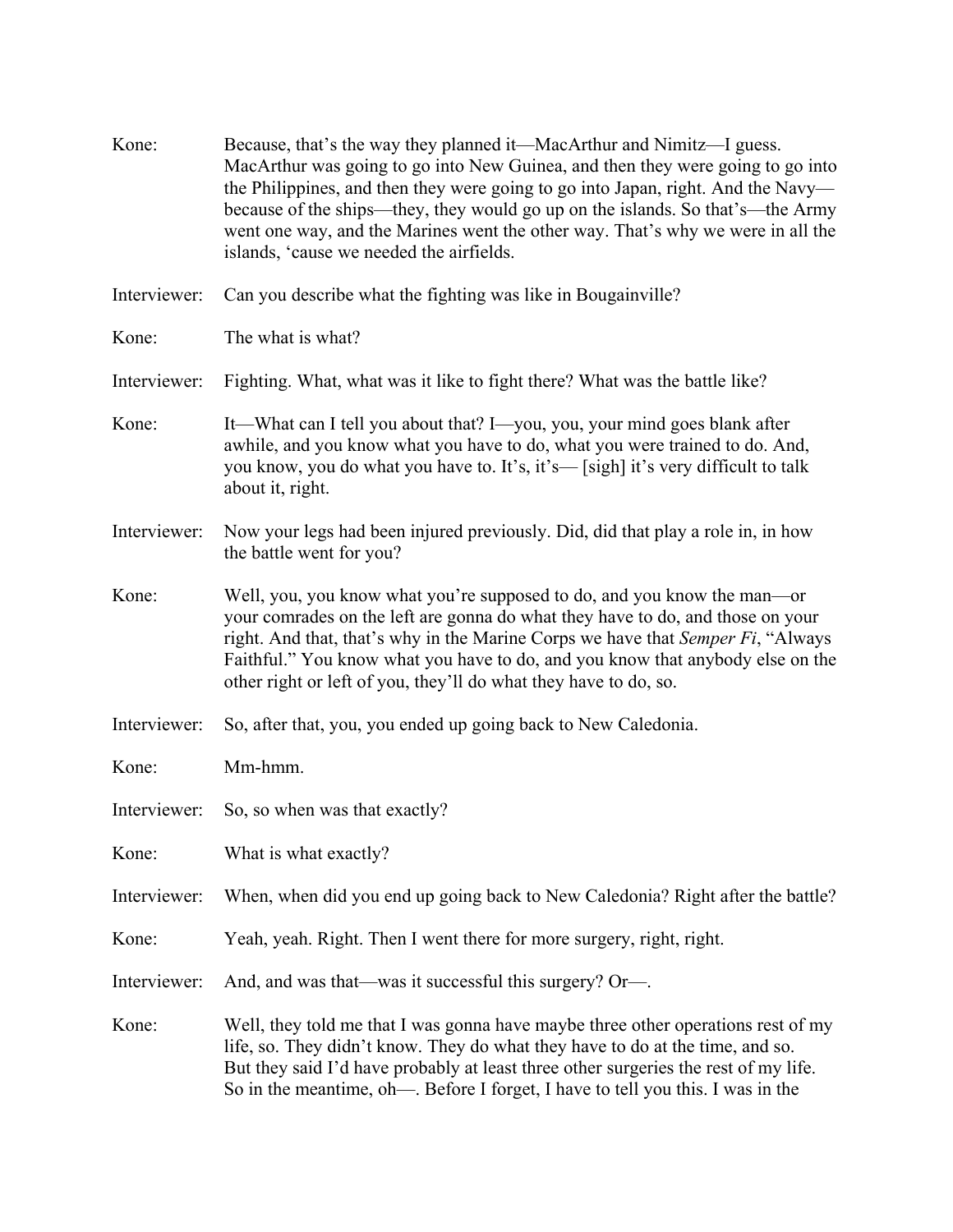| Kone:        | Because, that's the way they planned it—MacArthur and Nimitz—I guess.<br>MacArthur was going to go into New Guinea, and then they were going to go into<br>the Philippines, and then they were going to go into Japan, right. And the Navy-<br>because of the ships—they, they would go up on the islands. So that's—the Army<br>went one way, and the Marines went the other way. That's why we were in all the<br>islands, 'cause we needed the airfields. |
|--------------|--------------------------------------------------------------------------------------------------------------------------------------------------------------------------------------------------------------------------------------------------------------------------------------------------------------------------------------------------------------------------------------------------------------------------------------------------------------|
| Interviewer: | Can you describe what the fighting was like in Bougainville?                                                                                                                                                                                                                                                                                                                                                                                                 |
| Kone:        | The what is what?                                                                                                                                                                                                                                                                                                                                                                                                                                            |
| Interviewer: | Fighting. What, what was it like to fight there? What was the battle like?                                                                                                                                                                                                                                                                                                                                                                                   |
| Kone:        | It—What can I tell you about that? I—you, you, your mind goes blank after<br>awhile, and you know what you have to do, what you were trained to do. And,<br>you know, you do what you have to. It's, it's-[sigh] it's very difficult to talk<br>about it, right.                                                                                                                                                                                             |
| Interviewer: | Now your legs had been injured previously. Did, did that play a role in, in how<br>the battle went for you?                                                                                                                                                                                                                                                                                                                                                  |
| Kone:        | Well, you, you know what you're supposed to do, and you know the man—or<br>your comrades on the left are gonna do what they have to do, and those on your<br>right. And that, that's why in the Marine Corps we have that Semper Fi, "Always"<br>Faithful." You know what you have to do, and you know that anybody else on the<br>other right or left of you, they'll do what they have to do, so.                                                          |
| Interviewer: | So, after that, you, you ended up going back to New Caledonia.                                                                                                                                                                                                                                                                                                                                                                                               |
| Kone:        | Mm-hmm.                                                                                                                                                                                                                                                                                                                                                                                                                                                      |
| Interviewer: | So, so when was that exactly?                                                                                                                                                                                                                                                                                                                                                                                                                                |
| Kone:        | What is what exactly?                                                                                                                                                                                                                                                                                                                                                                                                                                        |
| Interviewer: | When, when did you end up going back to New Caledonia? Right after the battle?                                                                                                                                                                                                                                                                                                                                                                               |
| Kone:        | Yeah, yeah. Right. Then I went there for more surgery, right, right.                                                                                                                                                                                                                                                                                                                                                                                         |
| Interviewer: | And, and was that—was it successful this surgery? Or—.                                                                                                                                                                                                                                                                                                                                                                                                       |
| Kone:        | Well, they told me that I was gonna have maybe three other operations rest of my<br>life, so. They didn't know. They do what they have to do at the time, and so.<br>But they said I'd have probably at least three other surgeries the rest of my life.<br>So in the meantime, oh--. Before I forget, I have to tell you this. I was in the                                                                                                                 |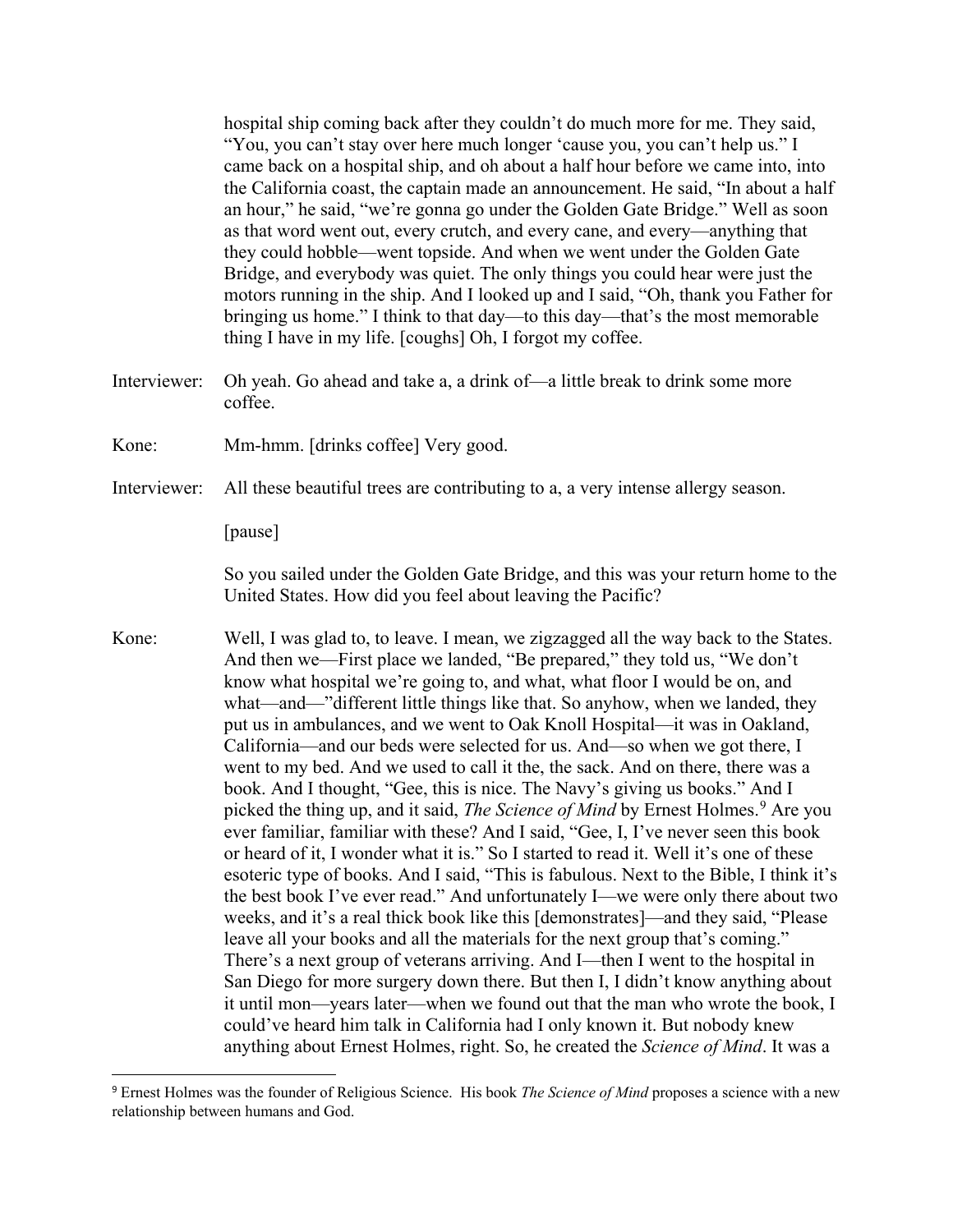hospital ship coming back after they couldn't do much more for me. They said, "You, you can't stay over here much longer 'cause you, you can't help us." I came back on a hospital ship, and oh about a half hour before we came into, into the California coast, the captain made an announcement. He said, "In about a half an hour," he said, "we're gonna go under the Golden Gate Bridge." Well as soon as that word went out, every crutch, and every cane, and every—anything that they could hobble—went topside. And when we went under the Golden Gate Bridge, and everybody was quiet. The only things you could hear were just the motors running in the ship. And I looked up and I said, "Oh, thank you Father for bringing us home." I think to that day—to this day—that's the most memorable thing I have in my life. [coughs] Oh, I forgot my coffee.

- Interviewer: Oh yeah. Go ahead and take a, a drink of—a little break to drink some more coffee.
- Kone: Mm-hmm. [drinks coffee] Very good.
- Interviewer: All these beautiful trees are contributing to a, a very intense allergy season.

[pause]

 $\overline{a}$ 

So you sailed under the Golden Gate Bridge, and this was your return home to the United States. How did you feel about leaving the Pacific?

Kone: Well, I was glad to, to leave. I mean, we zigzagged all the way back to the States. And then we—First place we landed, "Be prepared," they told us, "We don't know what hospital we're going to, and what, what floor I would be on, and what—and—"different little things like that. So anyhow, when we landed, they put us in ambulances, and we went to Oak Knoll Hospital—it was in Oakland, California—and our beds were selected for us. And—so when we got there, I went to my bed. And we used to call it the, the sack. And on there, there was a book. And I thought, "Gee, this is nice. The Navy's giving us books." And I picked the thing up, and it said, *The Science of Mind* by Ernest Holmes.<sup>[9](#page-12-0)</sup> Are you ever familiar, familiar with these? And I said, "Gee, I, I've never seen this book or heard of it, I wonder what it is." So I started to read it. Well it's one of these esoteric type of books. And I said, "This is fabulous. Next to the Bible, I think it's the best book I've ever read." And unfortunately I—we were only there about two weeks, and it's a real thick book like this [demonstrates]—and they said, "Please leave all your books and all the materials for the next group that's coming." There's a next group of veterans arriving. And I—then I went to the hospital in San Diego for more surgery down there. But then I, I didn't know anything about it until mon—years later—when we found out that the man who wrote the book, I could've heard him talk in California had I only known it. But nobody knew anything about Ernest Holmes, right. So, he created the *Science of Mind*. It was a

<span id="page-12-0"></span><sup>9</sup> Ernest Holmes was the founder of Religious Science. His book *The Science of Mind* proposes a science with a new relationship between humans and God.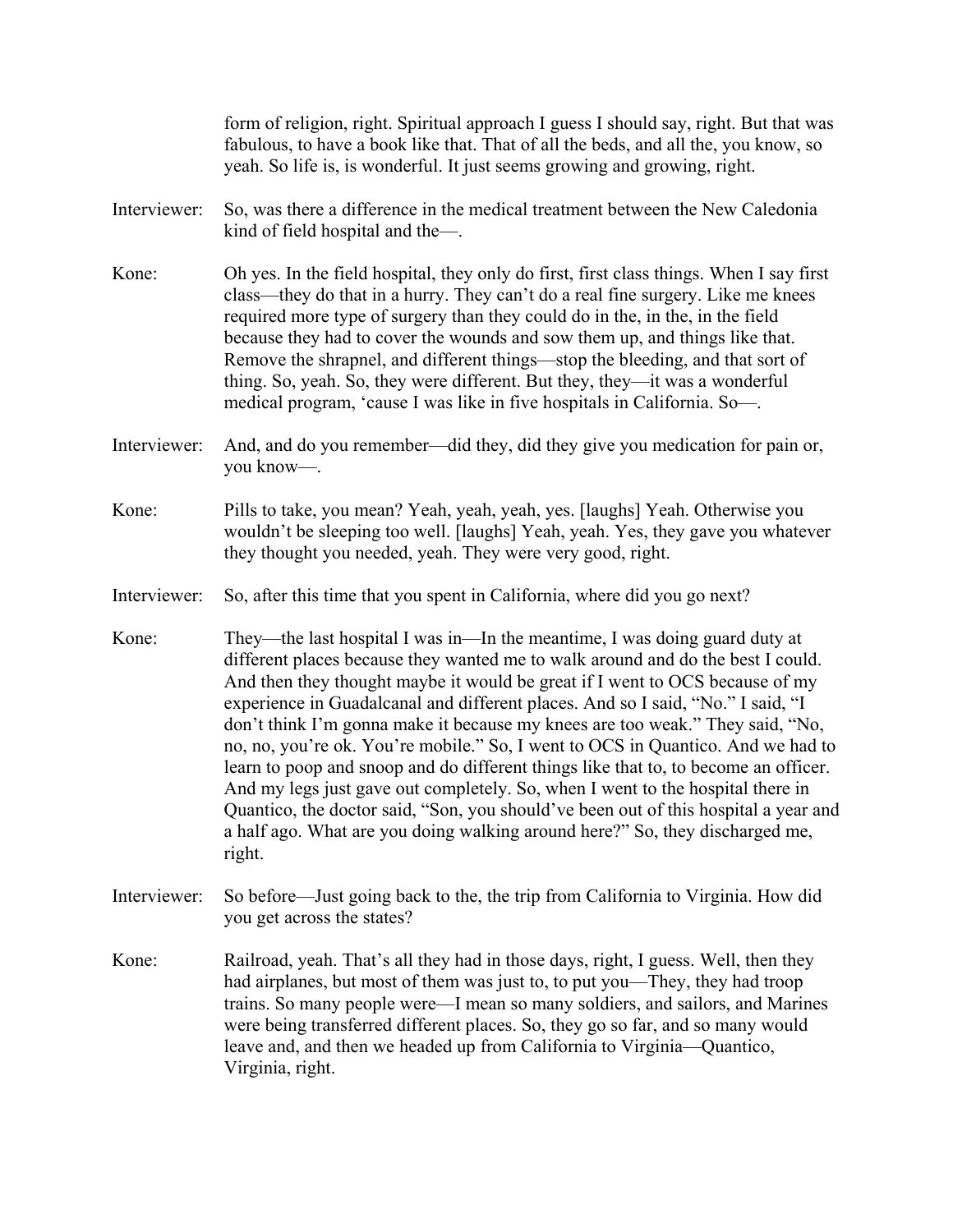|              | form of religion, right. Spiritual approach I guess I should say, right. But that was<br>fabulous, to have a book like that. That of all the beds, and all the, you know, so<br>yeah. So life is, is wonderful. It just seems growing and growing, right.                                                                                                                                                                                                                                                                                                                                                                                                                                                                                                                                                                                                       |
|--------------|-----------------------------------------------------------------------------------------------------------------------------------------------------------------------------------------------------------------------------------------------------------------------------------------------------------------------------------------------------------------------------------------------------------------------------------------------------------------------------------------------------------------------------------------------------------------------------------------------------------------------------------------------------------------------------------------------------------------------------------------------------------------------------------------------------------------------------------------------------------------|
| Interviewer: | So, was there a difference in the medical treatment between the New Caledonia<br>kind of field hospital and the-                                                                                                                                                                                                                                                                                                                                                                                                                                                                                                                                                                                                                                                                                                                                                |
| Kone:        | Oh yes. In the field hospital, they only do first, first class things. When I say first<br>class—they do that in a hurry. They can't do a real fine surgery. Like me knees<br>required more type of surgery than they could do in the, in the, in the field<br>because they had to cover the wounds and sow them up, and things like that.<br>Remove the shrapnel, and different things—stop the bleeding, and that sort of<br>thing. So, yeah. So, they were different. But they, they—it was a wonderful<br>medical program, 'cause I was like in five hospitals in California. So-                                                                                                                                                                                                                                                                           |
| Interviewer: | And, and do you remember—did they, did they give you medication for pain or,<br>you know-                                                                                                                                                                                                                                                                                                                                                                                                                                                                                                                                                                                                                                                                                                                                                                       |
| Kone:        | Pills to take, you mean? Yeah, yeah, yeah, yes. [laughs] Yeah. Otherwise you<br>wouldn't be sleeping too well. [laughs] Yeah, yeah. Yes, they gave you whatever<br>they thought you needed, yeah. They were very good, right.                                                                                                                                                                                                                                                                                                                                                                                                                                                                                                                                                                                                                                   |
| Interviewer: | So, after this time that you spent in California, where did you go next?                                                                                                                                                                                                                                                                                                                                                                                                                                                                                                                                                                                                                                                                                                                                                                                        |
| Kone:        | They—the last hospital I was in—In the meantime, I was doing guard duty at<br>different places because they wanted me to walk around and do the best I could.<br>And then they thought maybe it would be great if I went to OCS because of my<br>experience in Guadalcanal and different places. And so I said, "No." I said, "I<br>don't think I'm gonna make it because my knees are too weak." They said, "No,<br>no, no, you're ok. You're mobile." So, I went to OCS in Quantico. And we had to<br>learn to poop and snoop and do different things like that to, to become an officer.<br>And my legs just gave out completely. So, when I went to the hospital there in<br>Quantico, the doctor said, "Son, you should' ve been out of this hospital a year and<br>a half ago. What are you doing walking around here?" So, they discharged me,<br>right. |
| Interviewer: | So before—Just going back to the, the trip from California to Virginia. How did<br>you get across the states?                                                                                                                                                                                                                                                                                                                                                                                                                                                                                                                                                                                                                                                                                                                                                   |
| Kone:        | Railroad, yeah. That's all they had in those days, right, I guess. Well, then they<br>had airplanes, but most of them was just to, to put you—They, they had troop<br>trains. So many people were—I mean so many soldiers, and sailors, and Marines<br>were being transferred different places. So, they go so far, and so many would<br>leave and, and then we headed up from California to Virginia—Quantico,<br>Virginia, right.                                                                                                                                                                                                                                                                                                                                                                                                                             |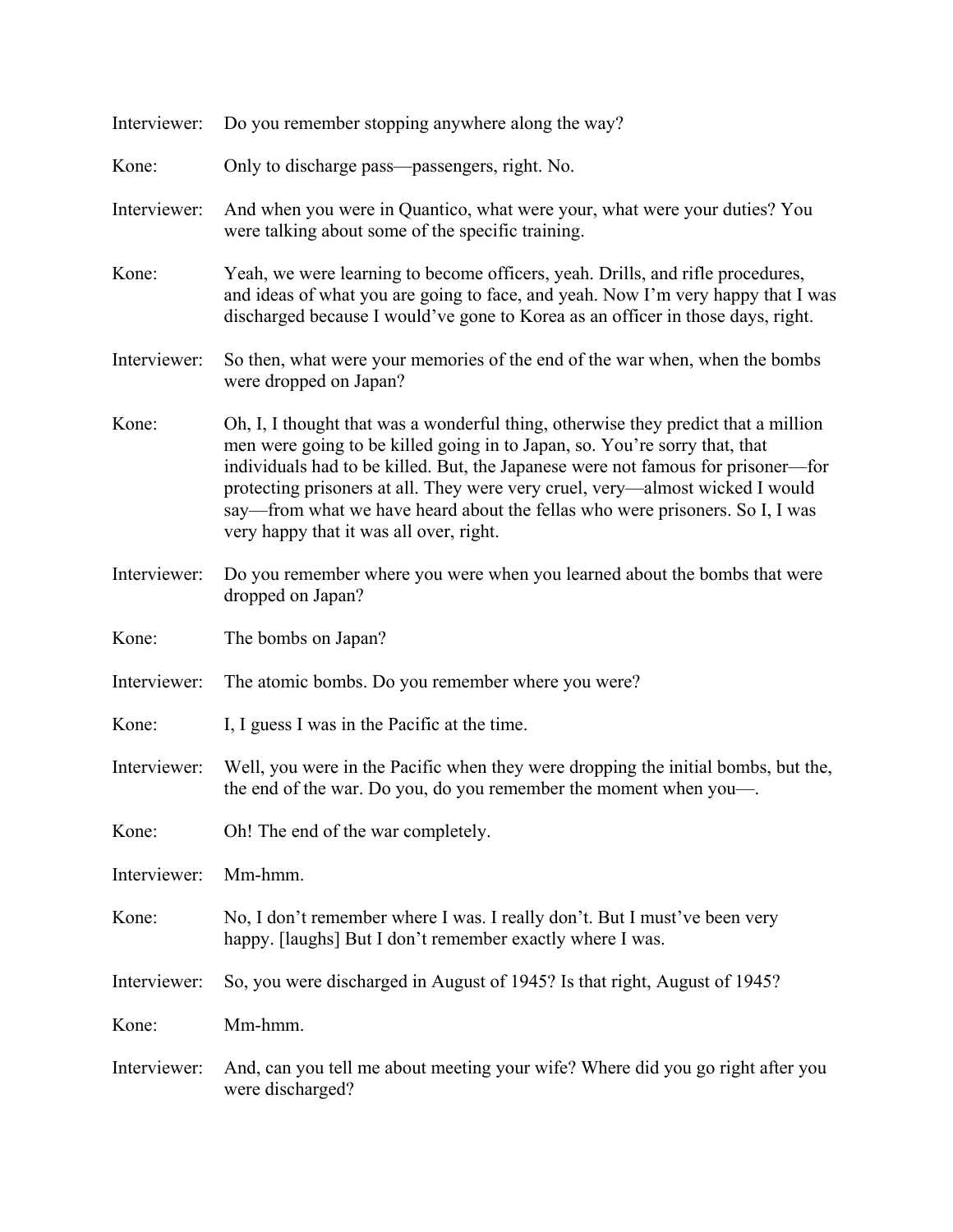| Interviewer: | Do you remember stopping anywhere along the way?                                                                                                                                                                                                                                                                                                                                                                                                                 |
|--------------|------------------------------------------------------------------------------------------------------------------------------------------------------------------------------------------------------------------------------------------------------------------------------------------------------------------------------------------------------------------------------------------------------------------------------------------------------------------|
| Kone:        | Only to discharge pass-passengers, right. No.                                                                                                                                                                                                                                                                                                                                                                                                                    |
| Interviewer: | And when you were in Quantico, what were your, what were your duties? You<br>were talking about some of the specific training.                                                                                                                                                                                                                                                                                                                                   |
| Kone:        | Yeah, we were learning to become officers, yeah. Drills, and rifle procedures,<br>and ideas of what you are going to face, and yeah. Now I'm very happy that I was<br>discharged because I would've gone to Korea as an officer in those days, right.                                                                                                                                                                                                            |
| Interviewer: | So then, what were your memories of the end of the war when, when the bombs<br>were dropped on Japan?                                                                                                                                                                                                                                                                                                                                                            |
| Kone:        | Oh, I, I thought that was a wonderful thing, otherwise they predict that a million<br>men were going to be killed going in to Japan, so. You're sorry that, that<br>individuals had to be killed. But, the Japanese were not famous for prisoner—for<br>protecting prisoners at all. They were very cruel, very—almost wicked I would<br>say—from what we have heard about the fellas who were prisoners. So I, I was<br>very happy that it was all over, right. |
| Interviewer: | Do you remember where you were when you learned about the bombs that were<br>dropped on Japan?                                                                                                                                                                                                                                                                                                                                                                   |
| Kone:        | The bombs on Japan?                                                                                                                                                                                                                                                                                                                                                                                                                                              |
| Interviewer: | The atomic bombs. Do you remember where you were?                                                                                                                                                                                                                                                                                                                                                                                                                |
| Kone:        | I, I guess I was in the Pacific at the time.                                                                                                                                                                                                                                                                                                                                                                                                                     |
| Interviewer: | Well, you were in the Pacific when they were dropping the initial bombs, but the,<br>the end of the war. Do you, do you remember the moment when you-                                                                                                                                                                                                                                                                                                            |
| Kone:        | Oh! The end of the war completely.                                                                                                                                                                                                                                                                                                                                                                                                                               |
| Interviewer: | Mm-hmm.                                                                                                                                                                                                                                                                                                                                                                                                                                                          |
| Kone:        | No, I don't remember where I was. I really don't. But I must've been very<br>happy. [laughs] But I don't remember exactly where I was.                                                                                                                                                                                                                                                                                                                           |
| Interviewer: | So, you were discharged in August of 1945? Is that right, August of 1945?                                                                                                                                                                                                                                                                                                                                                                                        |
| Kone:        | Mm-hmm.                                                                                                                                                                                                                                                                                                                                                                                                                                                          |
| Interviewer: | And, can you tell me about meeting your wife? Where did you go right after you<br>were discharged?                                                                                                                                                                                                                                                                                                                                                               |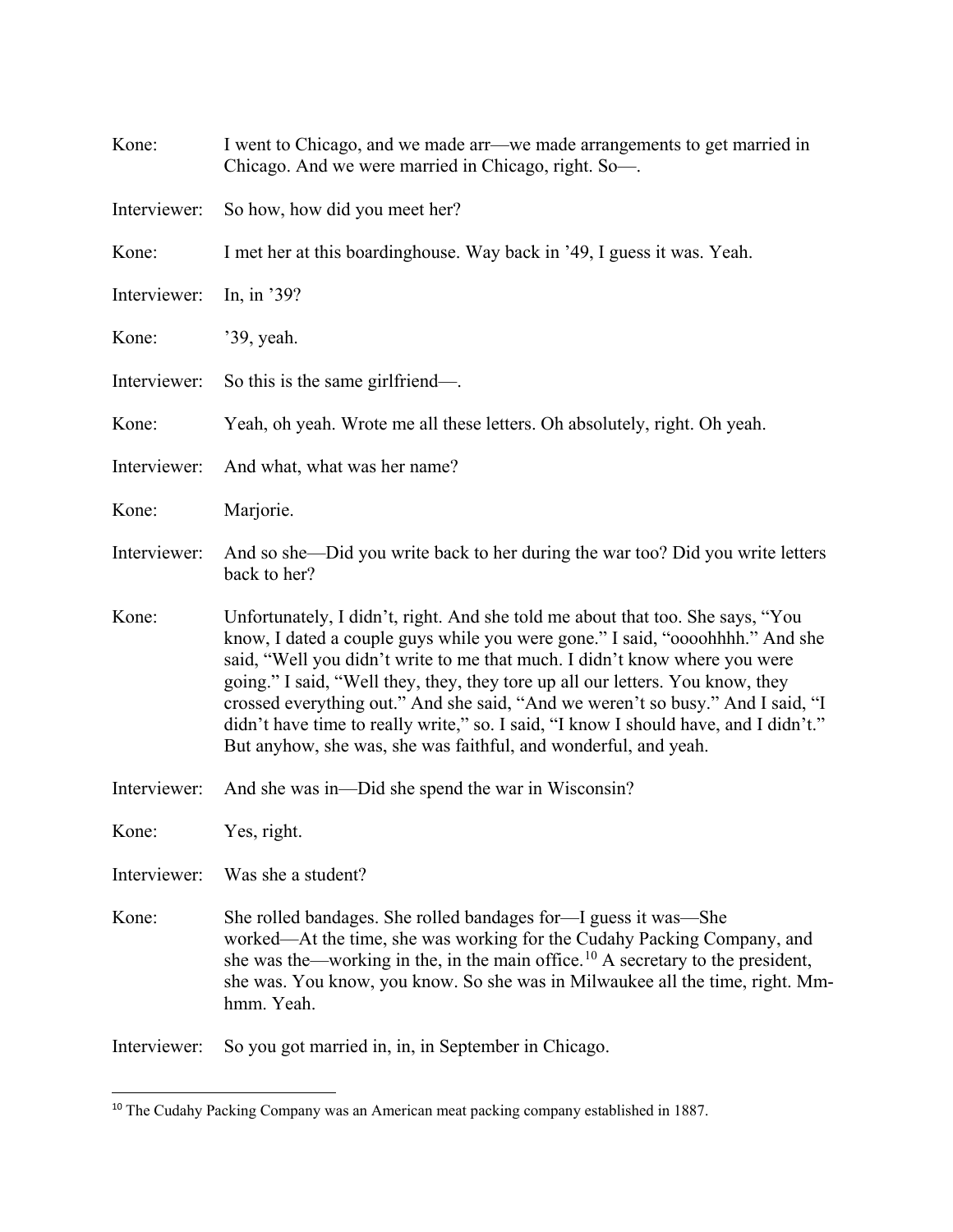| Kone:        | I went to Chicago, and we made arr—we made arrangements to get married in<br>Chicago. And we were married in Chicago, right. So-                                                                                                                                                                                                                                                                                                                                                                                                                                              |
|--------------|-------------------------------------------------------------------------------------------------------------------------------------------------------------------------------------------------------------------------------------------------------------------------------------------------------------------------------------------------------------------------------------------------------------------------------------------------------------------------------------------------------------------------------------------------------------------------------|
| Interviewer: | So how, how did you meet her?                                                                                                                                                                                                                                                                                                                                                                                                                                                                                                                                                 |
| Kone:        | I met her at this boardinghouse. Way back in '49, I guess it was. Yeah.                                                                                                                                                                                                                                                                                                                                                                                                                                                                                                       |
| Interviewer: | In, in '39?                                                                                                                                                                                                                                                                                                                                                                                                                                                                                                                                                                   |
| Kone:        | '39, yeah.                                                                                                                                                                                                                                                                                                                                                                                                                                                                                                                                                                    |
| Interviewer: | So this is the same girlfriend—.                                                                                                                                                                                                                                                                                                                                                                                                                                                                                                                                              |
| Kone:        | Yeah, oh yeah. Wrote me all these letters. Oh absolutely, right. Oh yeah.                                                                                                                                                                                                                                                                                                                                                                                                                                                                                                     |
| Interviewer: | And what, what was her name?                                                                                                                                                                                                                                                                                                                                                                                                                                                                                                                                                  |
| Kone:        | Marjorie.                                                                                                                                                                                                                                                                                                                                                                                                                                                                                                                                                                     |
| Interviewer: | And so she—Did you write back to her during the war too? Did you write letters<br>back to her?                                                                                                                                                                                                                                                                                                                                                                                                                                                                                |
| Kone:        | Unfortunately, I didn't, right. And she told me about that too. She says, "You<br>know, I dated a couple guys while you were gone." I said, "oooohhhh." And she<br>said, "Well you didn't write to me that much. I didn't know where you were<br>going." I said, "Well they, they, they tore up all our letters. You know, they<br>crossed everything out." And she said, "And we weren't so busy." And I said, "I<br>didn't have time to really write," so. I said, "I know I should have, and I didn't."<br>But anyhow, she was, she was faithful, and wonderful, and yeah. |
| Interviewer: | And she was in—Did she spend the war in Wisconsin?                                                                                                                                                                                                                                                                                                                                                                                                                                                                                                                            |
| Kone:        | Yes, right.                                                                                                                                                                                                                                                                                                                                                                                                                                                                                                                                                                   |
| Interviewer: | Was she a student?                                                                                                                                                                                                                                                                                                                                                                                                                                                                                                                                                            |
| Kone:        | She rolled bandages. She rolled bandages for—I guess it was—She<br>worked—At the time, she was working for the Cudahy Packing Company, and<br>she was the—working in the, in the main office. <sup>10</sup> A secretary to the president,<br>she was. You know, you know. So she was in Milwaukee all the time, right. Mm-<br>hmm. Yeah.                                                                                                                                                                                                                                      |
|              |                                                                                                                                                                                                                                                                                                                                                                                                                                                                                                                                                                               |

<span id="page-15-0"></span><sup>&</sup>lt;sup>10</sup> The Cudahy Packing Company was an American meat packing company established in 1887.

 $\overline{\phantom{a}}$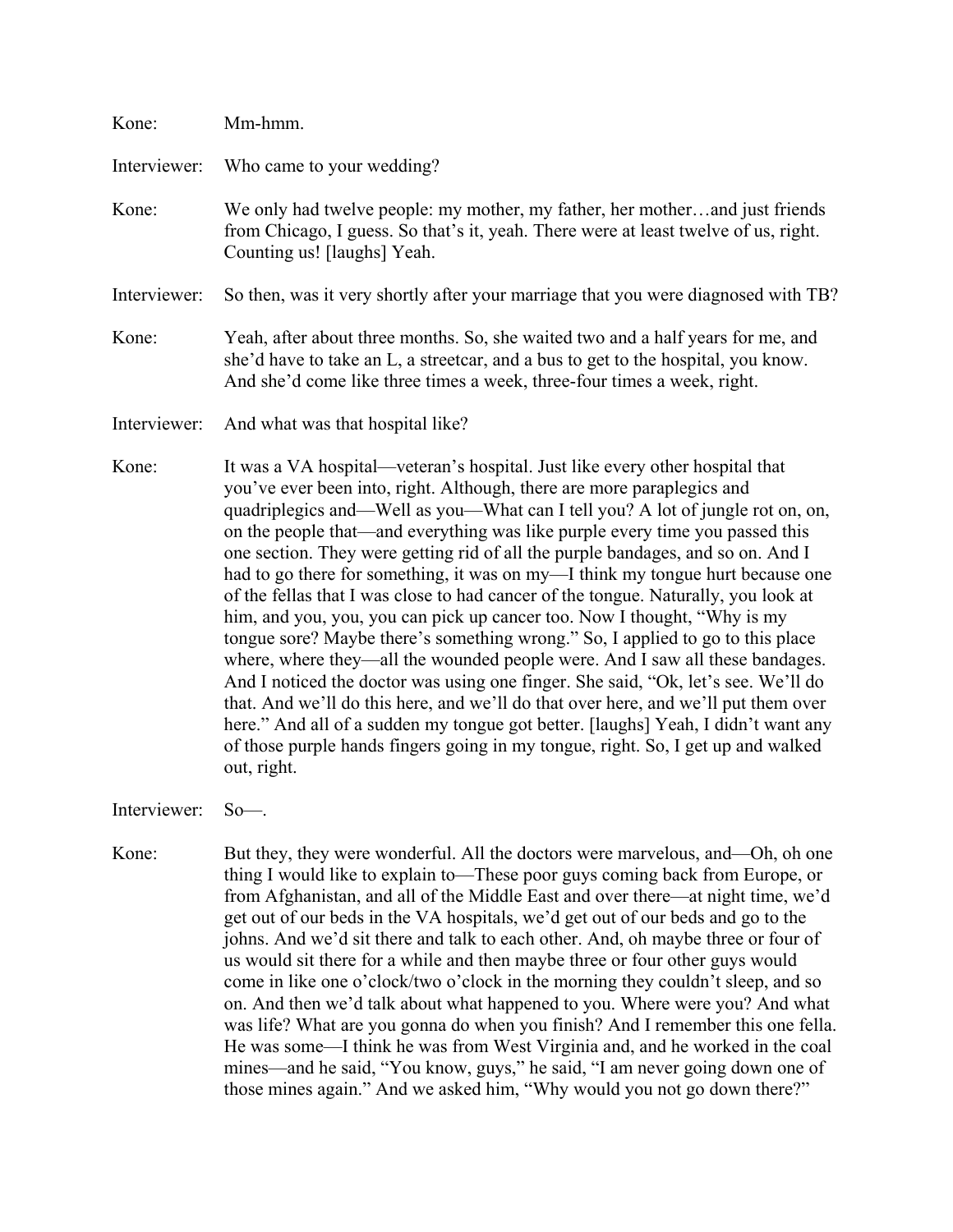| Kone:        | Mm-hmm.                                                                                                                                                                                                                                                                                                                                                                                                                                                                                                                                                                                                                                                                                                                                                                                                                                                                                                                                                                                                                                                                                                                                                                                              |
|--------------|------------------------------------------------------------------------------------------------------------------------------------------------------------------------------------------------------------------------------------------------------------------------------------------------------------------------------------------------------------------------------------------------------------------------------------------------------------------------------------------------------------------------------------------------------------------------------------------------------------------------------------------------------------------------------------------------------------------------------------------------------------------------------------------------------------------------------------------------------------------------------------------------------------------------------------------------------------------------------------------------------------------------------------------------------------------------------------------------------------------------------------------------------------------------------------------------------|
| Interviewer: | Who came to your wedding?                                                                                                                                                                                                                                                                                                                                                                                                                                                                                                                                                                                                                                                                                                                                                                                                                                                                                                                                                                                                                                                                                                                                                                            |
| Kone:        | We only had twelve people: my mother, my father, her motherand just friends<br>from Chicago, I guess. So that's it, yeah. There were at least twelve of us, right.<br>Counting us! [laughs] Yeah.                                                                                                                                                                                                                                                                                                                                                                                                                                                                                                                                                                                                                                                                                                                                                                                                                                                                                                                                                                                                    |
| Interviewer: | So then, was it very shortly after your marriage that you were diagnosed with TB?                                                                                                                                                                                                                                                                                                                                                                                                                                                                                                                                                                                                                                                                                                                                                                                                                                                                                                                                                                                                                                                                                                                    |
| Kone:        | Yeah, after about three months. So, she waited two and a half years for me, and<br>she'd have to take an L, a streetcar, and a bus to get to the hospital, you know.<br>And she'd come like three times a week, three-four times a week, right.                                                                                                                                                                                                                                                                                                                                                                                                                                                                                                                                                                                                                                                                                                                                                                                                                                                                                                                                                      |
| Interviewer: | And what was that hospital like?                                                                                                                                                                                                                                                                                                                                                                                                                                                                                                                                                                                                                                                                                                                                                                                                                                                                                                                                                                                                                                                                                                                                                                     |
| Kone:        | It was a VA hospital—veteran's hospital. Just like every other hospital that<br>you've ever been into, right. Although, there are more paraplegics and<br>quadriplegics and—Well as you—What can I tell you? A lot of jungle rot on, on,<br>on the people that—and everything was like purple every time you passed this<br>one section. They were getting rid of all the purple bandages, and so on. And I<br>had to go there for something, it was on my-I think my tongue hurt because one<br>of the fellas that I was close to had cancer of the tongue. Naturally, you look at<br>him, and you, you, you can pick up cancer too. Now I thought, "Why is my<br>tongue sore? Maybe there's something wrong." So, I applied to go to this place<br>where, where they—all the wounded people were. And I saw all these bandages.<br>And I noticed the doctor was using one finger. She said, "Ok, let's see. We'll do<br>that. And we'll do this here, and we'll do that over here, and we'll put them over<br>here." And all of a sudden my tongue got better. [laughs] Yeah, I didn't want any<br>of those purple hands fingers going in my tongue, right. So, I get up and walked<br>out, right. |

Interviewer: So—.

Kone: But they, they were wonderful. All the doctors were marvelous, and—Oh, oh one thing I would like to explain to—These poor guys coming back from Europe, or from Afghanistan, and all of the Middle East and over there—at night time, we'd get out of our beds in the VA hospitals, we'd get out of our beds and go to the johns. And we'd sit there and talk to each other. And, oh maybe three or four of us would sit there for a while and then maybe three or four other guys would come in like one o'clock/two o'clock in the morning they couldn't sleep, and so on. And then we'd talk about what happened to you. Where were you? And what was life? What are you gonna do when you finish? And I remember this one fella. He was some—I think he was from West Virginia and, and he worked in the coal mines—and he said, "You know, guys," he said, "I am never going down one of those mines again." And we asked him, "Why would you not go down there?"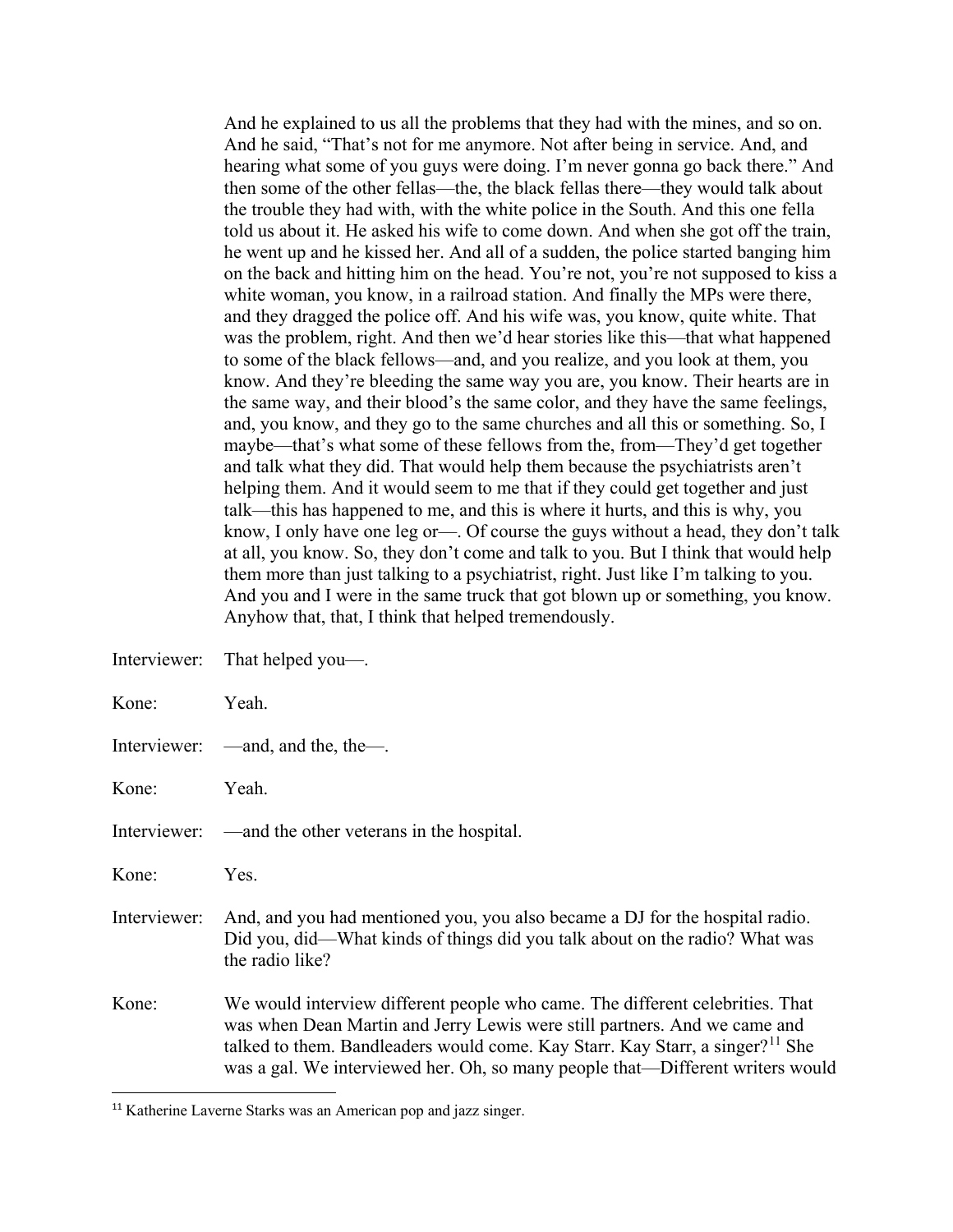And he explained to us all the problems that they had with the mines, and so on. And he said, "That's not for me anymore. Not after being in service. And, and hearing what some of you guys were doing. I'm never gonna go back there." And then some of the other fellas—the, the black fellas there—they would talk about the trouble they had with, with the white police in the South. And this one fella told us about it. He asked his wife to come down. And when she got off the train, he went up and he kissed her. And all of a sudden, the police started banging him on the back and hitting him on the head. You're not, you're not supposed to kiss a white woman, you know, in a railroad station. And finally the MPs were there, and they dragged the police off. And his wife was, you know, quite white. That was the problem, right. And then we'd hear stories like this—that what happened to some of the black fellows—and, and you realize, and you look at them, you know. And they're bleeding the same way you are, you know. Their hearts are in the same way, and their blood's the same color, and they have the same feelings, and, you know, and they go to the same churches and all this or something. So, I maybe—that's what some of these fellows from the, from—They'd get together and talk what they did. That would help them because the psychiatrists aren't helping them. And it would seem to me that if they could get together and just talk—this has happened to me, and this is where it hurts, and this is why, you know, I only have one leg or—. Of course the guys without a head, they don't talk at all, you know. So, they don't come and talk to you. But I think that would help them more than just talking to a psychiatrist, right. Just like I'm talking to you. And you and I were in the same truck that got blown up or something, you know. Anyhow that, that, I think that helped tremendously.

|              | Interviewer: That helped you-                                                                                                                                                                                                                                                                                                             |
|--------------|-------------------------------------------------------------------------------------------------------------------------------------------------------------------------------------------------------------------------------------------------------------------------------------------------------------------------------------------|
| Kone:        | Yeah.                                                                                                                                                                                                                                                                                                                                     |
|              | Interviewer: —and, and the, the—.                                                                                                                                                                                                                                                                                                         |
| Kone:        | Yeah.                                                                                                                                                                                                                                                                                                                                     |
|              | Interviewer: —and the other veterans in the hospital.                                                                                                                                                                                                                                                                                     |
| Kone:        | Yes.                                                                                                                                                                                                                                                                                                                                      |
| Interviewer: | And, and you had mentioned you, you also became a DJ for the hospital radio.<br>Did you, did—What kinds of things did you talk about on the radio? What was<br>the radio like?                                                                                                                                                            |
| Kone:        | We would interview different people who came. The different celebrities. That<br>was when Dean Martin and Jerry Lewis were still partners. And we came and<br>talked to them. Bandleaders would come. Kay Starr. Kay Starr, a singer? <sup>11</sup> She<br>was a gal. We interviewed her. Oh, so many people that—Different writers would |

<span id="page-17-0"></span><sup>&</sup>lt;sup>11</sup> Katherine Laverne Starks was an American pop and jazz singer.

 $\overline{\phantom{a}}$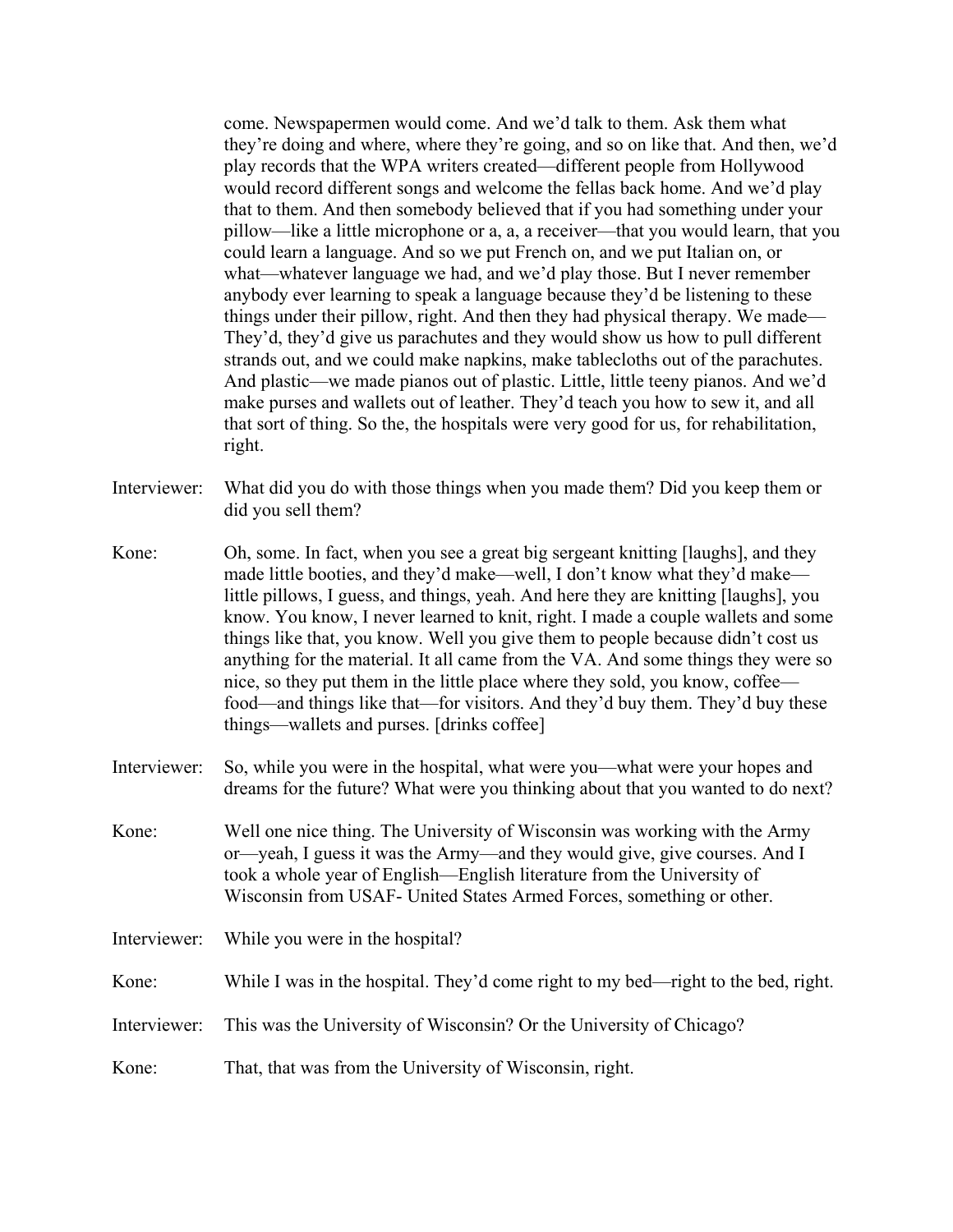come. Newspapermen would come. And we'd talk to them. Ask them what they're doing and where, where they're going, and so on like that. And then, we'd play records that the WPA writers created—different people from Hollywood would record different songs and welcome the fellas back home. And we'd play that to them. And then somebody believed that if you had something under your pillow—like a little microphone or a, a, a receiver—that you would learn, that you could learn a language. And so we put French on, and we put Italian on, or what—whatever language we had, and we'd play those. But I never remember anybody ever learning to speak a language because they'd be listening to these things under their pillow, right. And then they had physical therapy. We made— They'd, they'd give us parachutes and they would show us how to pull different strands out, and we could make napkins, make tablecloths out of the parachutes. And plastic—we made pianos out of plastic. Little, little teeny pianos. And we'd make purses and wallets out of leather. They'd teach you how to sew it, and all that sort of thing. So the, the hospitals were very good for us, for rehabilitation, right.

- Interviewer: What did you do with those things when you made them? Did you keep them or did you sell them?
- Kone: Oh, some. In fact, when you see a great big sergeant knitting [laughs], and they made little booties, and they'd make—well, I don't know what they'd make little pillows, I guess, and things, yeah. And here they are knitting [laughs], you know. You know, I never learned to knit, right. I made a couple wallets and some things like that, you know. Well you give them to people because didn't cost us anything for the material. It all came from the VA. And some things they were so nice, so they put them in the little place where they sold, you know, coffee food—and things like that—for visitors. And they'd buy them. They'd buy these things—wallets and purses. [drinks coffee]
- Interviewer: So, while you were in the hospital, what were you—what were your hopes and dreams for the future? What were you thinking about that you wanted to do next?
- Kone: Well one nice thing. The University of Wisconsin was working with the Army or—yeah, I guess it was the Army—and they would give, give courses. And I took a whole year of English—English literature from the University of Wisconsin from USAF- United States Armed Forces, something or other.
- Interviewer: While you were in the hospital?
- Kone: While I was in the hospital. They'd come right to my bed—right to the bed, right.
- Interviewer: This was the University of Wisconsin? Or the University of Chicago?
- Kone: That, that was from the University of Wisconsin, right.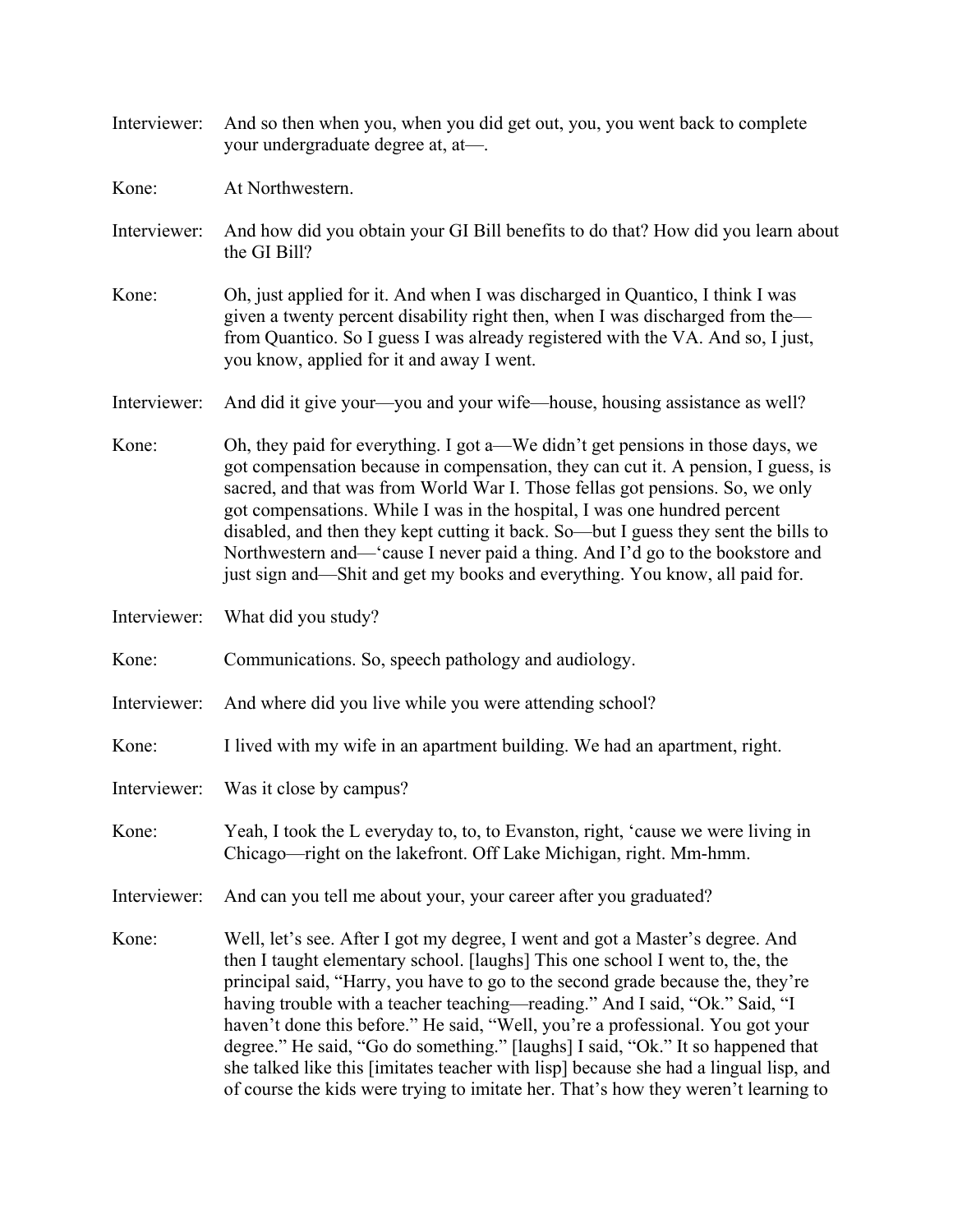- Interviewer: And so then when you, when you did get out, you, you went back to complete your undergraduate degree at, at—.
- Kone: At Northwestern.
- Interviewer: And how did you obtain your GI Bill benefits to do that? How did you learn about the GI Bill?
- Kone: Oh, just applied for it. And when I was discharged in Quantico, I think I was given a twenty percent disability right then, when I was discharged from the from Quantico. So I guess I was already registered with the VA. And so, I just, you know, applied for it and away I went.
- Interviewer: And did it give your—you and your wife—house, housing assistance as well?
- Kone: Oh, they paid for everything. I got a—We didn't get pensions in those days, we got compensation because in compensation, they can cut it. A pension, I guess, is sacred, and that was from World War I. Those fellas got pensions. So, we only got compensations. While I was in the hospital, I was one hundred percent disabled, and then they kept cutting it back. So—but I guess they sent the bills to Northwestern and—'cause I never paid a thing. And I'd go to the bookstore and just sign and—Shit and get my books and everything. You know, all paid for.
- Interviewer: What did you study?
- Kone: Communications. So, speech pathology and audiology.
- Interviewer: And where did you live while you were attending school?
- Kone: I lived with my wife in an apartment building. We had an apartment, right.
- Interviewer: Was it close by campus?
- Kone: Yeah, I took the L everyday to, to, to Evanston, right, 'cause we were living in Chicago—right on the lakefront. Off Lake Michigan, right. Mm-hmm.
- Interviewer: And can you tell me about your, your career after you graduated?
- Kone: Well, let's see. After I got my degree, I went and got a Master's degree. And then I taught elementary school. [laughs] This one school I went to, the, the principal said, "Harry, you have to go to the second grade because the, they're having trouble with a teacher teaching—reading." And I said, "Ok." Said, "I haven't done this before." He said, "Well, you're a professional. You got your degree." He said, "Go do something." [laughs] I said, "Ok." It so happened that she talked like this [imitates teacher with lisp] because she had a lingual lisp, and of course the kids were trying to imitate her. That's how they weren't learning to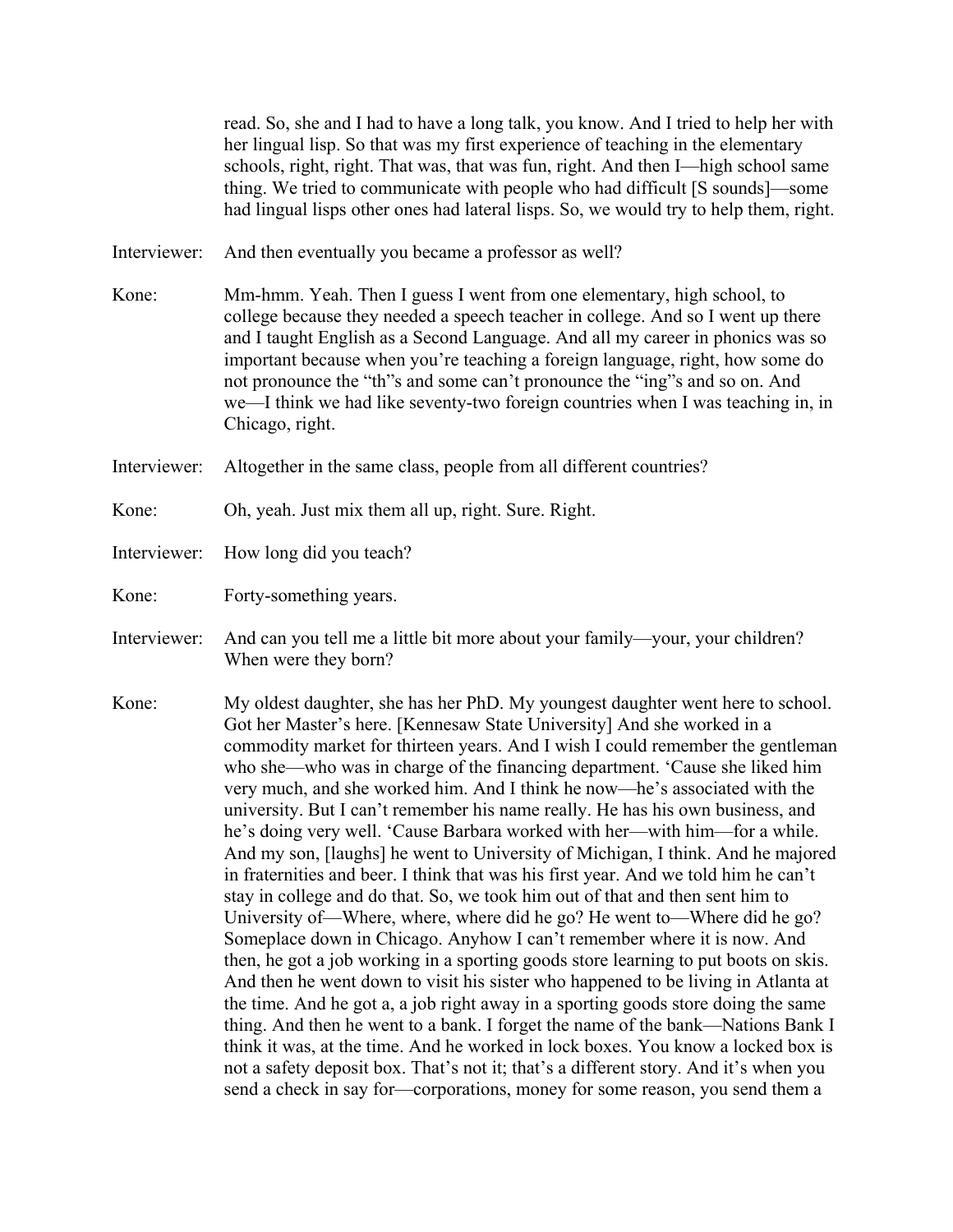read. So, she and I had to have a long talk, you know. And I tried to help her with her lingual lisp. So that was my first experience of teaching in the elementary schools, right, right. That was, that was fun, right. And then I—high school same thing. We tried to communicate with people who had difficult [S sounds]—some had lingual lisps other ones had lateral lisps. So, we would try to help them, right.

- Interviewer: And then eventually you became a professor as well?
- Kone: Mm-hmm. Yeah. Then I guess I went from one elementary, high school, to college because they needed a speech teacher in college. And so I went up there and I taught English as a Second Language. And all my career in phonics was so important because when you're teaching a foreign language, right, how some do not pronounce the "th"s and some can't pronounce the "ing"s and so on. And we—I think we had like seventy-two foreign countries when I was teaching in, in Chicago, right.
- Interviewer: Altogether in the same class, people from all different countries?
- Kone: Oh, yeah. Just mix them all up, right. Sure. Right.
- Interviewer: How long did you teach?
- Kone: Forty-something years.
- Interviewer: And can you tell me a little bit more about your family—your, your children? When were they born?
- Kone: My oldest daughter, she has her PhD. My youngest daughter went here to school. Got her Master's here. [Kennesaw State University] And she worked in a commodity market for thirteen years. And I wish I could remember the gentleman who she—who was in charge of the financing department. 'Cause she liked him very much, and she worked him. And I think he now—he's associated with the university. But I can't remember his name really. He has his own business, and he's doing very well. 'Cause Barbara worked with her—with him—for a while. And my son, [laughs] he went to University of Michigan, I think. And he majored in fraternities and beer. I think that was his first year. And we told him he can't stay in college and do that. So, we took him out of that and then sent him to University of—Where, where, where did he go? He went to—Where did he go? Someplace down in Chicago. Anyhow I can't remember where it is now. And then, he got a job working in a sporting goods store learning to put boots on skis. And then he went down to visit his sister who happened to be living in Atlanta at the time. And he got a, a job right away in a sporting goods store doing the same thing. And then he went to a bank. I forget the name of the bank—Nations Bank I think it was, at the time. And he worked in lock boxes. You know a locked box is not a safety deposit box. That's not it; that's a different story. And it's when you send a check in say for—corporations, money for some reason, you send them a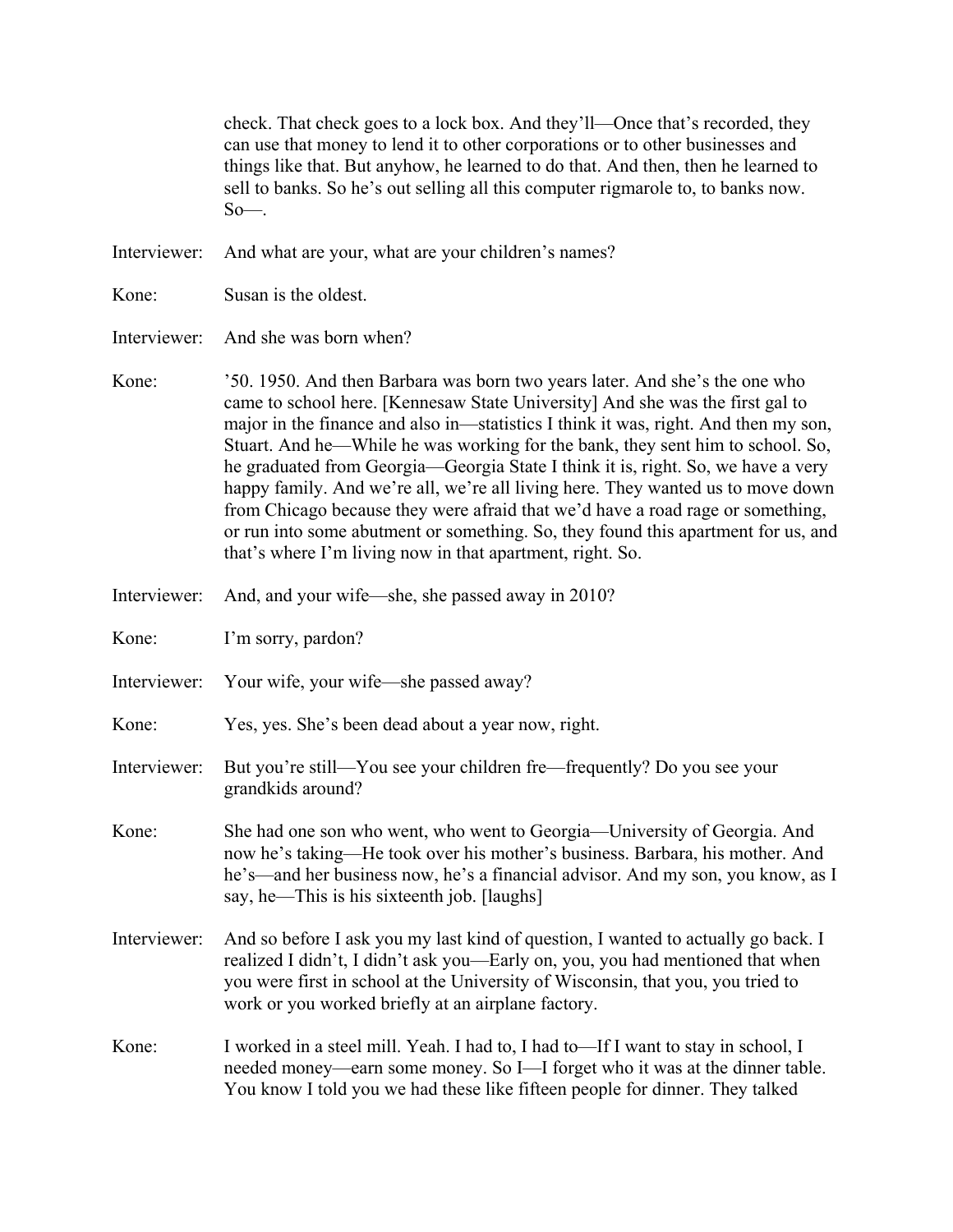check. That check goes to a lock box. And they'll—Once that's recorded, they can use that money to lend it to other corporations or to other businesses and things like that. But anyhow, he learned to do that. And then, then he learned to sell to banks. So he's out selling all this computer rigmarole to, to banks now.  $So$ —.

Interviewer: And what are your, what are your children's names?

Kone: Susan is the oldest.

Interviewer: And she was born when?

- Kone: '50. 1950. And then Barbara was born two years later. And she's the one who came to school here. [Kennesaw State University] And she was the first gal to major in the finance and also in—statistics I think it was, right. And then my son, Stuart. And he—While he was working for the bank, they sent him to school. So, he graduated from Georgia—Georgia State I think it is, right. So, we have a very happy family. And we're all, we're all living here. They wanted us to move down from Chicago because they were afraid that we'd have a road rage or something, or run into some abutment or something. So, they found this apartment for us, and that's where I'm living now in that apartment, right. So.
- Interviewer: And, and your wife—she, she passed away in 2010?

Kone: I'm sorry, pardon?

- Interviewer: Your wife, your wife—she passed away?
- Kone: Yes, yes. She's been dead about a year now, right.
- Interviewer: But you're still—You see your children fre—frequently? Do you see your grandkids around?
- Kone: She had one son who went, who went to Georgia—University of Georgia. And now he's taking—He took over his mother's business. Barbara, his mother. And he's—and her business now, he's a financial advisor. And my son, you know, as I say, he—This is his sixteenth job. [laughs]
- Interviewer: And so before I ask you my last kind of question, I wanted to actually go back. I realized I didn't, I didn't ask you—Early on, you, you had mentioned that when you were first in school at the University of Wisconsin, that you, you tried to work or you worked briefly at an airplane factory.
- Kone: I worked in a steel mill. Yeah. I had to, I had to—If I want to stay in school, I needed money—earn some money. So I—I forget who it was at the dinner table. You know I told you we had these like fifteen people for dinner. They talked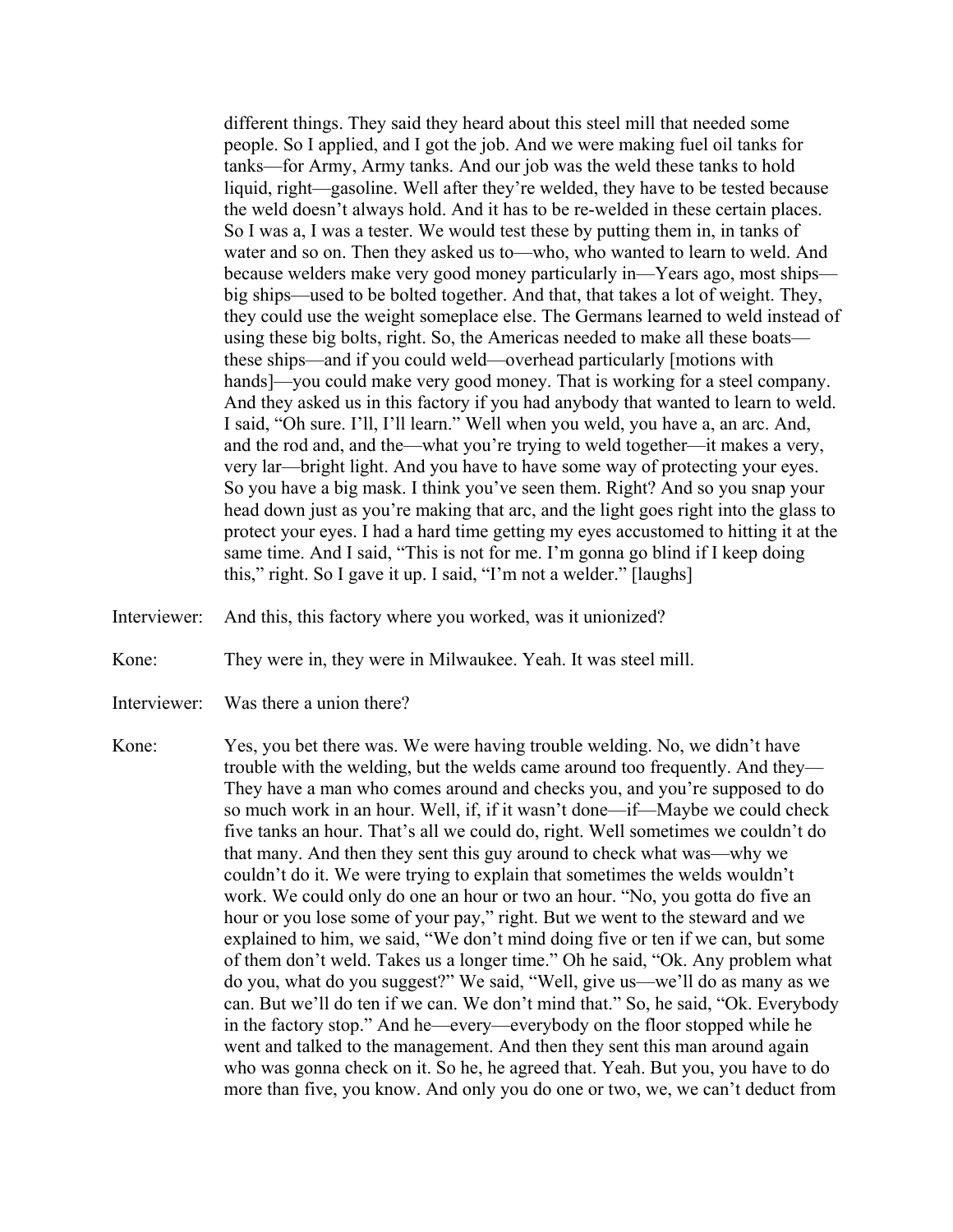different things. They said they heard about this steel mill that needed some people. So I applied, and I got the job. And we were making fuel oil tanks for tanks—for Army, Army tanks. And our job was the weld these tanks to hold liquid, right—gasoline. Well after they're welded, they have to be tested because the weld doesn't always hold. And it has to be re-welded in these certain places. So I was a, I was a tester. We would test these by putting them in, in tanks of water and so on. Then they asked us to—who, who wanted to learn to weld. And because welders make very good money particularly in—Years ago, most ships big ships—used to be bolted together. And that, that takes a lot of weight. They, they could use the weight someplace else. The Germans learned to weld instead of using these big bolts, right. So, the Americas needed to make all these boats these ships—and if you could weld—overhead particularly [motions with hands]—you could make very good money. That is working for a steel company. And they asked us in this factory if you had anybody that wanted to learn to weld. I said, "Oh sure. I'll, I'll learn." Well when you weld, you have a, an arc. And, and the rod and, and the—what you're trying to weld together—it makes a very, very lar—bright light. And you have to have some way of protecting your eyes. So you have a big mask. I think you've seen them. Right? And so you snap your head down just as you're making that arc, and the light goes right into the glass to protect your eyes. I had a hard time getting my eyes accustomed to hitting it at the same time. And I said, "This is not for me. I'm gonna go blind if I keep doing this," right. So I gave it up. I said, "I'm not a welder." [laughs]

- Interviewer: And this, this factory where you worked, was it unionized?
- Kone: They were in, they were in Milwaukee. Yeah. It was steel mill.
- Interviewer: Was there a union there?
- Kone: Yes, you bet there was. We were having trouble welding. No, we didn't have trouble with the welding, but the welds came around too frequently. And they— They have a man who comes around and checks you, and you're supposed to do so much work in an hour. Well, if, if it wasn't done—if—Maybe we could check five tanks an hour. That's all we could do, right. Well sometimes we couldn't do that many. And then they sent this guy around to check what was—why we couldn't do it. We were trying to explain that sometimes the welds wouldn't work. We could only do one an hour or two an hour. "No, you gotta do five an hour or you lose some of your pay," right. But we went to the steward and we explained to him, we said, "We don't mind doing five or ten if we can, but some of them don't weld. Takes us a longer time." Oh he said, "Ok. Any problem what do you, what do you suggest?" We said, "Well, give us—we'll do as many as we can. But we'll do ten if we can. We don't mind that." So, he said, "Ok. Everybody in the factory stop." And he—every—everybody on the floor stopped while he went and talked to the management. And then they sent this man around again who was gonna check on it. So he, he agreed that. Yeah. But you, you have to do more than five, you know. And only you do one or two, we, we can't deduct from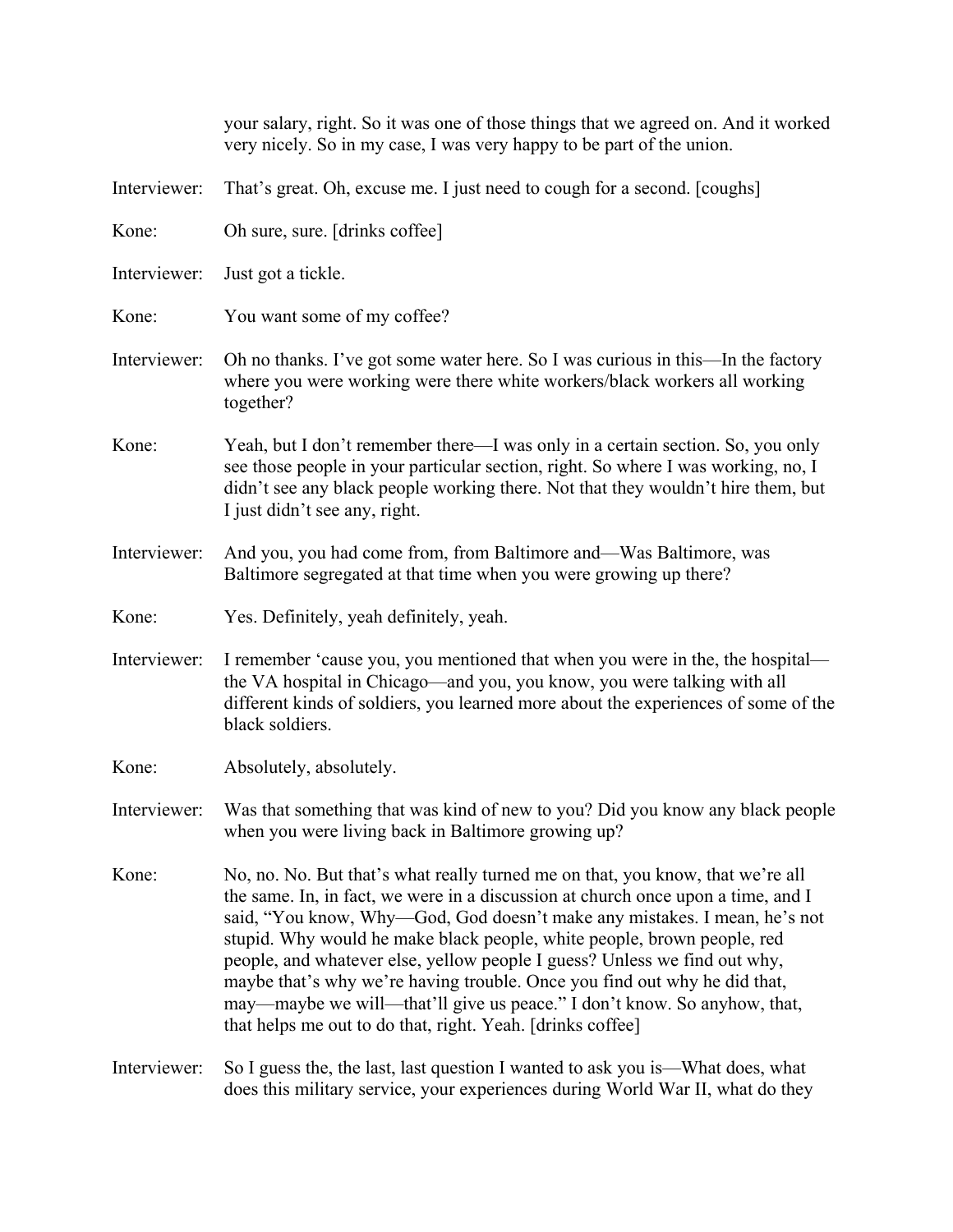|              | your salary, right. So it was one of those things that we agreed on. And it worked<br>very nicely. So in my case, I was very happy to be part of the union.                                                                                                                                                                                                                                                                                                                                                                                                                                                                    |
|--------------|--------------------------------------------------------------------------------------------------------------------------------------------------------------------------------------------------------------------------------------------------------------------------------------------------------------------------------------------------------------------------------------------------------------------------------------------------------------------------------------------------------------------------------------------------------------------------------------------------------------------------------|
| Interviewer: | That's great. Oh, excuse me. I just need to cough for a second. [coughs]                                                                                                                                                                                                                                                                                                                                                                                                                                                                                                                                                       |
| Kone:        | Oh sure, sure. [drinks coffee]                                                                                                                                                                                                                                                                                                                                                                                                                                                                                                                                                                                                 |
| Interviewer: | Just got a tickle.                                                                                                                                                                                                                                                                                                                                                                                                                                                                                                                                                                                                             |
| Kone:        | You want some of my coffee?                                                                                                                                                                                                                                                                                                                                                                                                                                                                                                                                                                                                    |
| Interviewer: | Oh no thanks. I've got some water here. So I was curious in this—In the factory<br>where you were working were there white workers/black workers all working<br>together?                                                                                                                                                                                                                                                                                                                                                                                                                                                      |
| Kone:        | Yeah, but I don't remember there—I was only in a certain section. So, you only<br>see those people in your particular section, right. So where I was working, no, I<br>didn't see any black people working there. Not that they wouldn't hire them, but<br>I just didn't see any, right.                                                                                                                                                                                                                                                                                                                                       |
| Interviewer: | And you, you had come from, from Baltimore and-Was Baltimore, was<br>Baltimore segregated at that time when you were growing up there?                                                                                                                                                                                                                                                                                                                                                                                                                                                                                         |
| Kone:        | Yes. Definitely, yeah definitely, yeah.                                                                                                                                                                                                                                                                                                                                                                                                                                                                                                                                                                                        |
| Interviewer: | I remember 'cause you, you mentioned that when you were in the, the hospital—<br>the VA hospital in Chicago—and you, you know, you were talking with all<br>different kinds of soldiers, you learned more about the experiences of some of the<br>black soldiers.                                                                                                                                                                                                                                                                                                                                                              |
| Kone:        | Absolutely, absolutely.                                                                                                                                                                                                                                                                                                                                                                                                                                                                                                                                                                                                        |
| Interviewer: | Was that something that was kind of new to you? Did you know any black people<br>when you were living back in Baltimore growing up?                                                                                                                                                                                                                                                                                                                                                                                                                                                                                            |
| Kone:        | No, no. No. But that's what really turned me on that, you know, that we're all<br>the same. In, in fact, we were in a discussion at church once upon a time, and I<br>said, "You know, Why—God, God doesn't make any mistakes. I mean, he's not<br>stupid. Why would he make black people, white people, brown people, red<br>people, and whatever else, yellow people I guess? Unless we find out why,<br>maybe that's why we're having trouble. Once you find out why he did that,<br>may—maybe we will—that'll give us peace." I don't know. So anyhow, that,<br>that helps me out to do that, right. Yeah. [drinks coffee] |
| Interviewer: | So I guess the, the last, last question I wanted to ask you is—What does, what<br>does this military service, your experiences during World War II, what do they                                                                                                                                                                                                                                                                                                                                                                                                                                                               |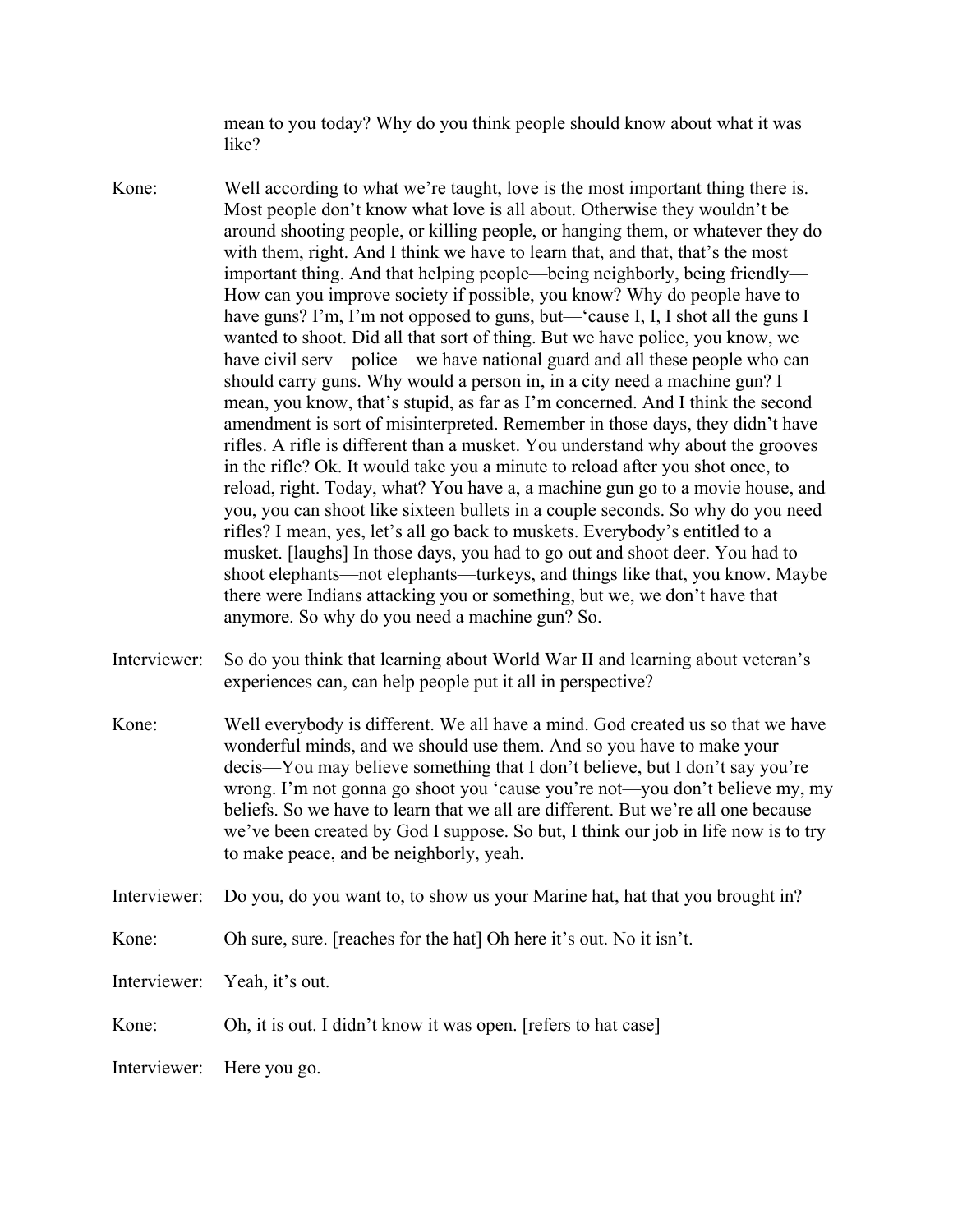mean to you today? Why do you think people should know about what it was like?

- Kone: Well according to what we're taught, love is the most important thing there is. Most people don't know what love is all about. Otherwise they wouldn't be around shooting people, or killing people, or hanging them, or whatever they do with them, right. And I think we have to learn that, and that, that's the most important thing. And that helping people—being neighborly, being friendly— How can you improve society if possible, you know? Why do people have to have guns? I'm, I'm not opposed to guns, but—'cause I, I, I shot all the guns I wanted to shoot. Did all that sort of thing. But we have police, you know, we have civil serv—police—we have national guard and all these people who can should carry guns. Why would a person in, in a city need a machine gun? I mean, you know, that's stupid, as far as I'm concerned. And I think the second amendment is sort of misinterpreted. Remember in those days, they didn't have rifles. A rifle is different than a musket. You understand why about the grooves in the rifle? Ok. It would take you a minute to reload after you shot once, to reload, right. Today, what? You have a, a machine gun go to a movie house, and you, you can shoot like sixteen bullets in a couple seconds. So why do you need rifles? I mean, yes, let's all go back to muskets. Everybody's entitled to a musket. [laughs] In those days, you had to go out and shoot deer. You had to shoot elephants—not elephants—turkeys, and things like that, you know. Maybe there were Indians attacking you or something, but we, we don't have that anymore. So why do you need a machine gun? So.
- Interviewer: So do you think that learning about World War II and learning about veteran's experiences can, can help people put it all in perspective?
- Kone: Well everybody is different. We all have a mind. God created us so that we have wonderful minds, and we should use them. And so you have to make your decis—You may believe something that I don't believe, but I don't say you're wrong. I'm not gonna go shoot you 'cause you're not—you don't believe my, my beliefs. So we have to learn that we all are different. But we're all one because we've been created by God I suppose. So but, I think our job in life now is to try to make peace, and be neighborly, yeah.
- Interviewer: Do you, do you want to, to show us your Marine hat, hat that you brought in?
- Kone: Oh sure, sure. [reaches for the hat] Oh here it's out. No it isn't.
- Interviewer: Yeah, it's out.
- Kone: Oh, it is out. I didn't know it was open. [refers to hat case]
- Interviewer: Here you go.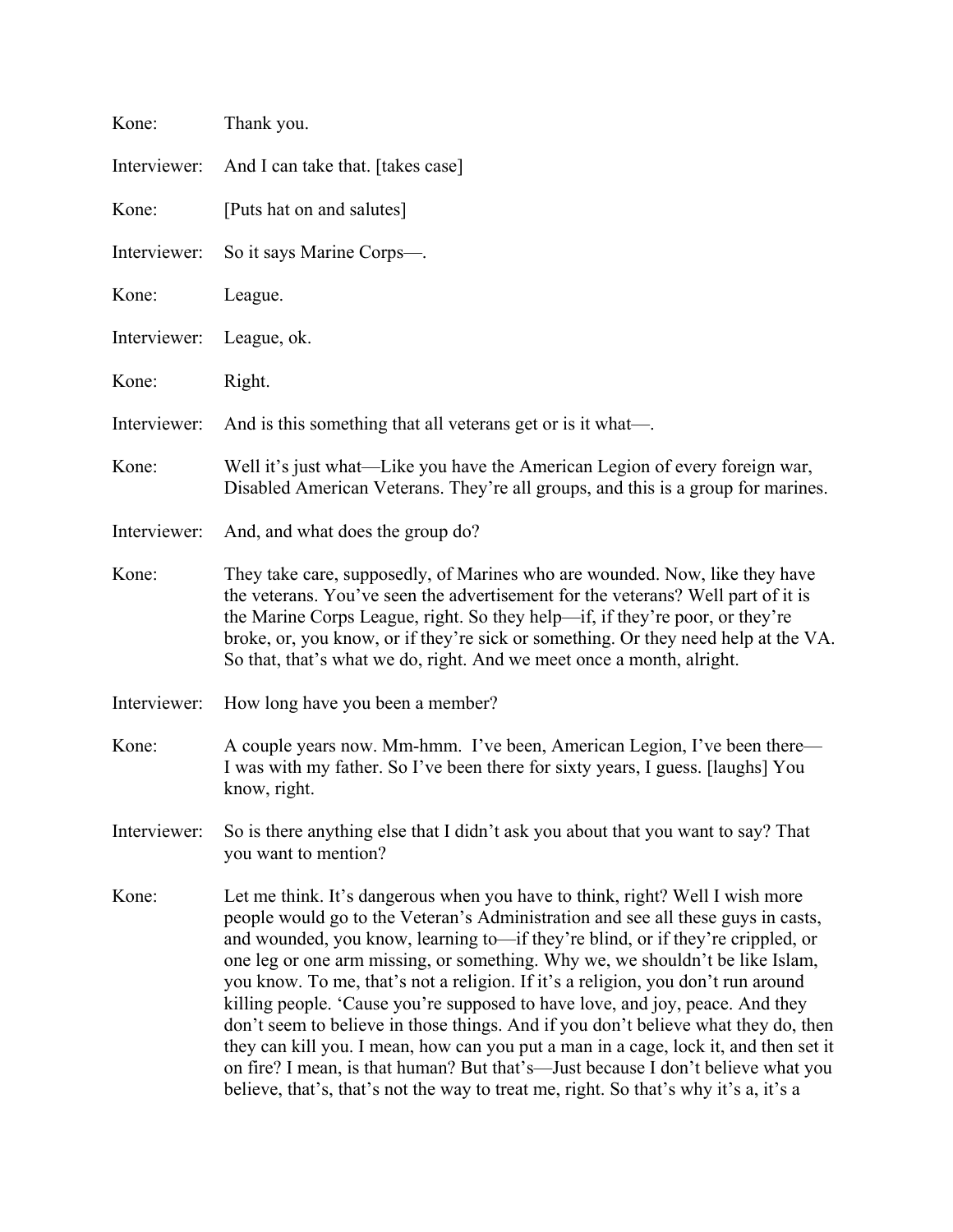| Kone:        | Thank you.                                                                                                                                                                                                                                                                                                                                                                                                                                                                                                                                                                                                                                                                                                                                                                                                                                                          |
|--------------|---------------------------------------------------------------------------------------------------------------------------------------------------------------------------------------------------------------------------------------------------------------------------------------------------------------------------------------------------------------------------------------------------------------------------------------------------------------------------------------------------------------------------------------------------------------------------------------------------------------------------------------------------------------------------------------------------------------------------------------------------------------------------------------------------------------------------------------------------------------------|
| Interviewer: | And I can take that. [takes case]                                                                                                                                                                                                                                                                                                                                                                                                                                                                                                                                                                                                                                                                                                                                                                                                                                   |
| Kone:        | [Puts hat on and salutes]                                                                                                                                                                                                                                                                                                                                                                                                                                                                                                                                                                                                                                                                                                                                                                                                                                           |
| Interviewer: | So it says Marine Corps—.                                                                                                                                                                                                                                                                                                                                                                                                                                                                                                                                                                                                                                                                                                                                                                                                                                           |
| Kone:        | League.                                                                                                                                                                                                                                                                                                                                                                                                                                                                                                                                                                                                                                                                                                                                                                                                                                                             |
| Interviewer: | League, ok.                                                                                                                                                                                                                                                                                                                                                                                                                                                                                                                                                                                                                                                                                                                                                                                                                                                         |
| Kone:        | Right.                                                                                                                                                                                                                                                                                                                                                                                                                                                                                                                                                                                                                                                                                                                                                                                                                                                              |
| Interviewer: | And is this something that all veterans get or is it what—.                                                                                                                                                                                                                                                                                                                                                                                                                                                                                                                                                                                                                                                                                                                                                                                                         |
| Kone:        | Well it's just what—Like you have the American Legion of every foreign war,<br>Disabled American Veterans. They're all groups, and this is a group for marines.                                                                                                                                                                                                                                                                                                                                                                                                                                                                                                                                                                                                                                                                                                     |
| Interviewer: | And, and what does the group do?                                                                                                                                                                                                                                                                                                                                                                                                                                                                                                                                                                                                                                                                                                                                                                                                                                    |
| Kone:        | They take care, supposedly, of Marines who are wounded. Now, like they have<br>the veterans. You've seen the advertisement for the veterans? Well part of it is<br>the Marine Corps League, right. So they help—if, if they're poor, or they're<br>broke, or, you know, or if they're sick or something. Or they need help at the VA.<br>So that, that's what we do, right. And we meet once a month, alright.                                                                                                                                                                                                                                                                                                                                                                                                                                                      |
| Interviewer: | How long have you been a member?                                                                                                                                                                                                                                                                                                                                                                                                                                                                                                                                                                                                                                                                                                                                                                                                                                    |
| Kone:        | A couple years now. Mm-hmm. I've been, American Legion, I've been there—<br>I was with my father. So I've been there for sixty years, I guess. [laughs] You<br>know, right.                                                                                                                                                                                                                                                                                                                                                                                                                                                                                                                                                                                                                                                                                         |
| Interviewer: | So is there anything else that I didn't ask you about that you want to say? That<br>you want to mention?                                                                                                                                                                                                                                                                                                                                                                                                                                                                                                                                                                                                                                                                                                                                                            |
| Kone:        | Let me think. It's dangerous when you have to think, right? Well I wish more<br>people would go to the Veteran's Administration and see all these guys in casts,<br>and wounded, you know, learning to-if they're blind, or if they're crippled, or<br>one leg or one arm missing, or something. Why we, we shouldn't be like Islam,<br>you know. To me, that's not a religion. If it's a religion, you don't run around<br>killing people. 'Cause you're supposed to have love, and joy, peace. And they<br>don't seem to believe in those things. And if you don't believe what they do, then<br>they can kill you. I mean, how can you put a man in a cage, lock it, and then set it<br>on fire? I mean, is that human? But that's—Just because I don't believe what you<br>believe, that's, that's not the way to treat me, right. So that's why it's a, it's a |